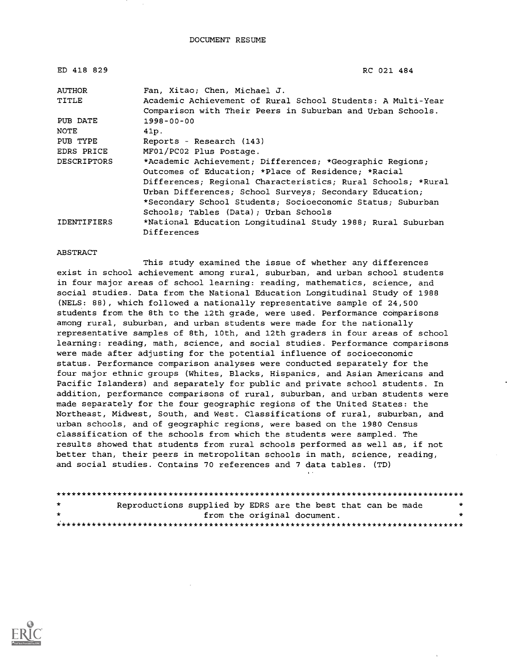| ED 418 829         | RC 021 484                                                   |
|--------------------|--------------------------------------------------------------|
| <b>AUTHOR</b>      | Fan, Xitao; Chen, Michael J.                                 |
| TITLE              | Academic Achievement of Rural School Students: A Multi-Year  |
|                    | Comparison with Their Peers in Suburban and Urban Schools.   |
| PUB DATE           | $1998 - 00 - 00$                                             |
| NOTE               | 41p.                                                         |
| PUB TYPE           | Reports - Research (143)                                     |
| EDRS PRICE         | MF01/PC02 Plus Postage.                                      |
| <b>DESCRIPTORS</b> | *Academic Achievement; Differences; *Geographic Regions;     |
|                    | Outcomes of Education; *Place of Residence; *Racial          |
|                    | Differences; Regional Characteristics; Rural Schools; *Rural |
|                    | Urban Differences; School Surveys; Secondary Education;      |
|                    | *Secondary School Students; Socioeconomic Status; Suburban   |
|                    | Schools; Tables (Data); Urban Schools                        |
| <b>IDENTIFIERS</b> | *National Education Longitudinal Study 1988; Rural Suburban  |
|                    | Differences                                                  |

#### ABSTRACT

This study examined the issue of whether any differences exist in school achievement among rural, suburban, and urban school students in four major areas of school learning: reading, mathematics, science, and social studies. Data from the National Education Longitudinal Study of 1988 (NELS: 88), which followed a nationally representative sample of 24,500 students from the 8th to the 12th grade, were used. Performance comparisons among rural, suburban, and urban students were made for the nationally representative samples of 8th, 10th, and 12th graders in four areas of school learning: reading, math, science, and social studies. Performance comparisons were made after adjusting for the potential influence of socioeconomic status. Performance comparison analyses were conducted separately for the four major ethnic groups (Whites, Blacks, Hispanics, and Asian Americans and Pacific Islanders) and separately for public and private school students. In addition, performance comparisons of rural, suburban, and urban students were made separately for the four geographic regions of the United States: the Northeast, Midwest, South, and West. Classifications of rural, suburban, and urban schools, and of geographic regions, were based on the 1980 Census classification of the schools from which the students were sampled. The results showed that students from rural schools performed as well as, if not better than, their peers in metropolitan schools in math, science, reading, and social studies. Contains 70 references and 7 data tables. (TD)

| $\star$ | Reproductions supplied by EDRS are the best that can be made |                             |  |  | * |
|---------|--------------------------------------------------------------|-----------------------------|--|--|---|
| $\star$ |                                                              | from the original document. |  |  |   |
|         |                                                              |                             |  |  |   |

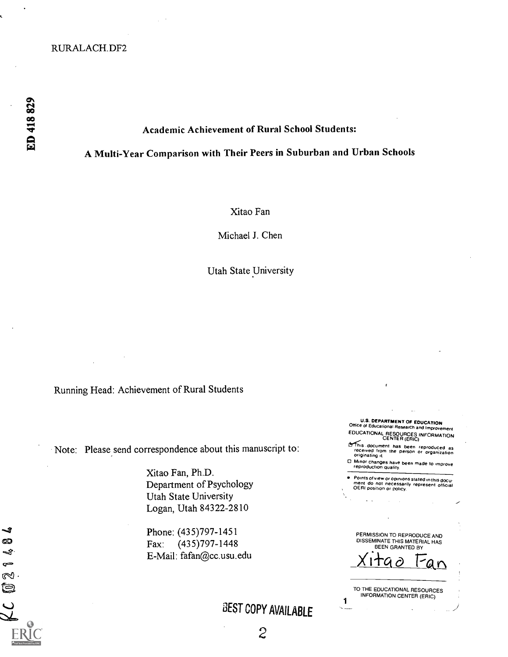## RURALACH.DF2

-3 ඟ Ą  $\sim$ Z Ó

# Academic Achievement of Rural School Students:

# A Multi-Year Comparison with Their Peers in Suburban and Urban Schools

Xitao Fan

Michael J. Chen

Utah State University

Running Head: Achievement of Rural Students

Note: Please send correspondence about this manuscript to:

Xitao Fan, Ph.D. Department of Psychology Utah State University Logan, Utah 84322-2810

Phone: (435)797-1451 Fax: (435)797-1448 E-Mail: fafan@cc.usu.edu

'3EST COPY AVAILABLE

U.S. DEPARTMENT OF EDUCATION<br>Office of Educational Research and Improvement EDUCATIONAL RESOURCES INFORMATION CENTER (ERIC)

LT This document has been reproduced as<br>- received from the person or organization<br>- originating it.

O Minor changes have been made to improve reproduction Quality.

Points of view or opinions stated In thisdocu- ment do not necessarily represent official OERI position or policy.

PERMISSION TO REPRODUCE AND DISSEMINATE THIS MATERIAL HAS BEEN GRANTED BY

<u>Xitao Fan</u>

1 TO THE EDUCATIONAL RESOURCES INFORMATION CENTER (ERIC)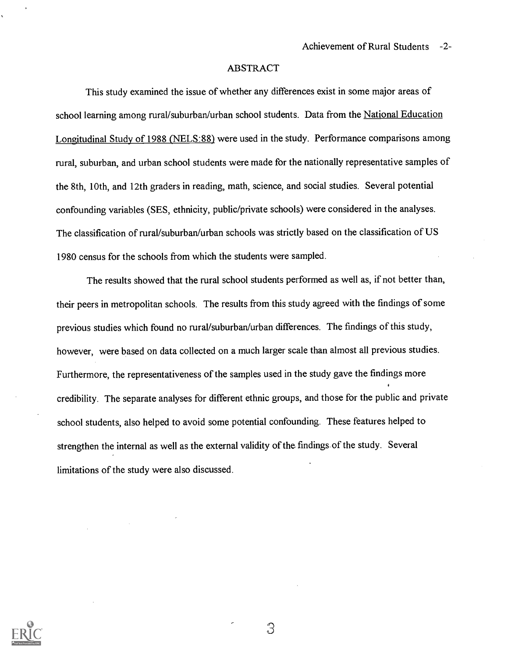#### ABSTRACT

This study examined the issue of whether any differences exist in some major areas of school learning among rural/suburban/urban school students. Data from the National Education Longitudinal Study of 1988 (NELS:88) were used in the study. Performance comparisons among rural, suburban, and urban school students were made for the nationally representative samples of the 8th, 10th, and 12th graders in reading, math, science, and social studies. Several potential confounding variables (SES, ethnicity, public/private schools) were considered in the analyses. The classification of rural/suburban/urban schools was strictly based on the classification of US 1980 census for the schools from which the students were sampled.

The results showed that the rural school students performed as well as, if not better than, their peers in metropolitan schools. The results from this study agreed with the findings of some previous studies which found no rural/suburban/urban differences. The findings of this study, however, were based on data collected on a much larger scale than almost all previous studies. Furthermore, the representativeness of the samples used in the study gave the findings more credibility. The separate analyses for different ethnic groups, and those for the public and private school students, also helped to avoid some potential confounding. These features helped to strengthen the internal as well as the external validity of the findings of the study. Several limitations of the study were also discussed.



З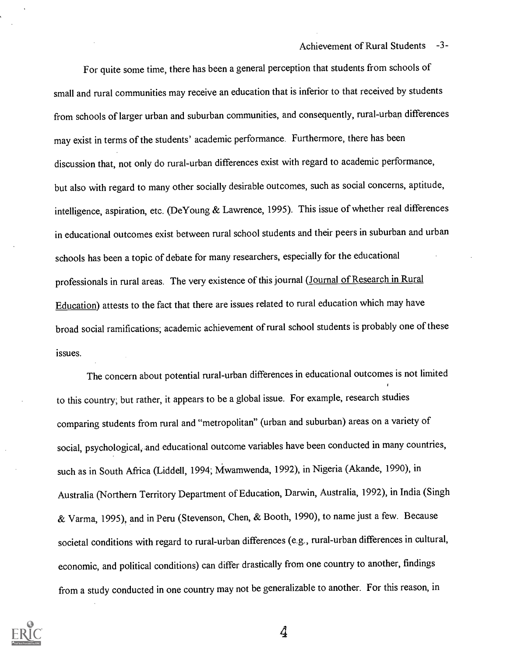Achievement of Rural Students -3-

For quite some time, there has been a general perception that students from schools of small and rural communities may receive an education that is inferior to that received by students from schools of larger urban and suburban communities, and consequently, rural-urban differences may exist in terms of the students' academic performance. Furthermore, there has been discussion that, not only do rural-urban differences exist with regard to academic performance, but also with regard to many other socially desirable outcomes, such as social concerns, aptitude, intelligence, aspiration, etc. (DeYoung & Lawrence, 1995). This issue of whether real differences in educational outcomes exist between rural school students and their peers in suburban and urban schools has been a topic of debate for many researchers, especially for the educational professionals in rural areas. The very existence of this journal (Journal of Research in Rural Education) attests to the fact that there are issues related to rural education which may have broad social ramifications; academic achievement of rural school students is probably one of these issues.

The concern about potential rural-urban differences in educational outcomes is not limited to this country; but rather, it appears to be a global issue. For example, research studies comparing students from rural and "metropolitan" (urban and suburban) areas on a variety of social, psychological, and educational outcome variables have been conducted in many countries, such as in South Africa (Liddell, 1994; Mwamwenda, 1992), in Nigeria (Akande, 1990), in Australia (Northern Territory Department of Education, Darwin, Australia, 1992), in India (Singh & Varma, 1995), and in Peru (Stevenson, Chen, & Booth, 1990), to name just a few. Because societal conditions with regard to rural-urban differences (e.g., rural-urban differences in cultural, economic, and political conditions) can differ drastically from one country to another, findings from a study conducted in one country may not be generalizable to another. For this reason, in

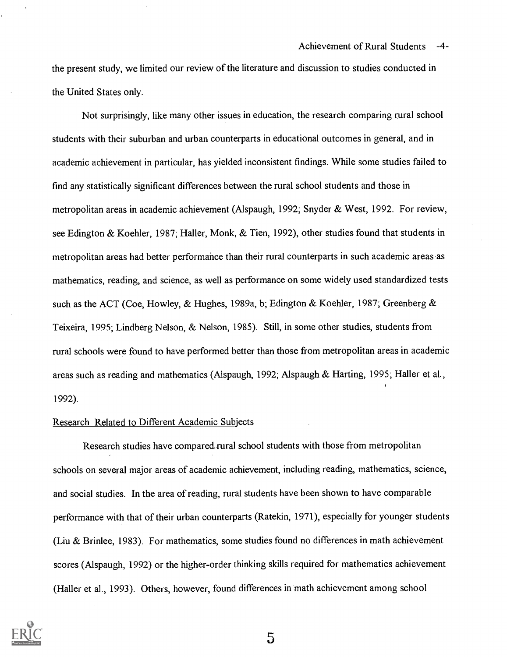the present study, we limited our review of the literature and discussion to studies conducted in the United States only.

Not surprisingly, like many other issues in education, the research comparing rural school students with their suburban and urban counterparts in educational outcomes in general, and in academic achievement in particular, has yielded inconsistent findings. While some studies failed to find any statistically significant differences between the rural school students and those in metropolitan areas in academic achievement (Alspaugh, 1992; Snyder & West, 1992. For review, see Edington & Koehler, 1987; Haller, Monk, & Tien, 1992), other studies found that students in metropolitan areas had better performance than their rural counterparts in such academic areas as mathematics, reading, and science, as well as performance on some widely used standardized tests such as the ACT (Coe, Howley, & Hughes, 1989a, b; Edington & Koehler, 1987; Greenberg & Teixeira, 1995; Lindberg Nelson, & Nelson, 1985). Still, in some other studies, students from rural schools were found to have performed better than those from metropolitan areas in academic areas such as reading and mathematics (Alspaugh, 1992; Alspaugh & Harting, 1995; Haller et al., 1992).

#### Research Related to Different Academic Subjects

Research studies have compared, rural school students with those from metropolitan schools on several major areas of academic achievement, including reading, mathematics, science, and social studies. In the area of reading, rural students have been shown to have comparable performance with that of their urban counterparts (Ratekin, 1971), especially for younger students (Liu & Brinlee, 1983). For mathematics, some studies found no differences in math achievement scores (Alspaugh, 1992) or the higher-order thinking skills required for mathematics achievement (Haller et al., 1993). Others, however, found differences in math achievement among school

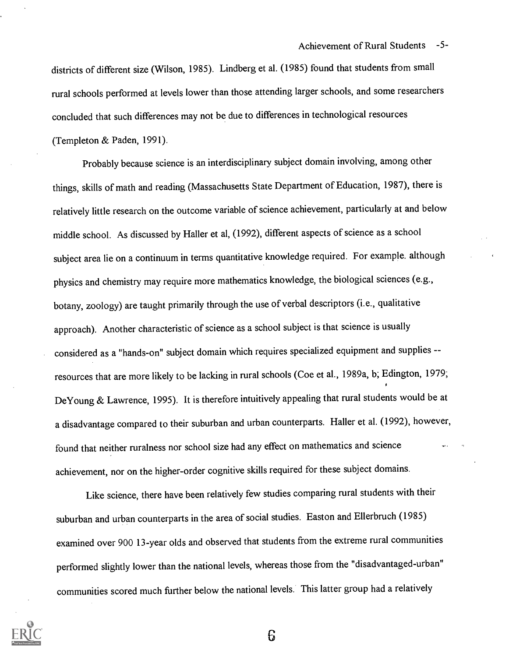districts of different size (Wilson, 1985). Lindberg et al. (1985) found that students from small rural schools performed at levels lower than those attending larger schools, and some researchers concluded that such differences may not be due to differences in technological resources (Templeton & Paden, 1991).

Probably because science is an interdisciplinary subject domain involving, among other things, skills of math and reading (Massachusetts State Department of Education, 1987), there is relatively little research on the outcome variable of science achievement, particularly at and below middle school. As discussed by Haller et al, (1992), different aspects of science as a school subject area lie on a continuum in terms quantitative knowledge required. For example. although physics and chemistry may require more mathematics knowledge, the biological sciences (e.g., botany, zoology) are taught primarily through the use of verbal descriptors (i.e., qualitative approach). Another characteristic of science as a school subject is that science is usually considered as a "hands-on" subject domain which requires specialized equipment and supplies - resources that are more likely to be lacking in rural schools (Coe et al., 1989a, b; Edington, 1979; DeYoung & Lawrence, 1995). It is therefore intuitively appealing that rural students would be at a disadvantage compared to their suburban and urban counterparts. Haller et al. (1992), however, found that neither ruralness nor school size had any effect on mathematics and science achievement, nor on the higher-order cognitive skills required for these subject domains.

Like science, there have been relatively few studies comparing rural students with their suburban and urban counterparts in the area of social studies. Easton and Ellerbruch (1985) examined over 900 13-year olds and observed that students from the extreme rural communities performed slightly lower than the national levels, whereas those from the "disadvantaged-urban" communities scored much further below the national levels. This latter group had a relatively

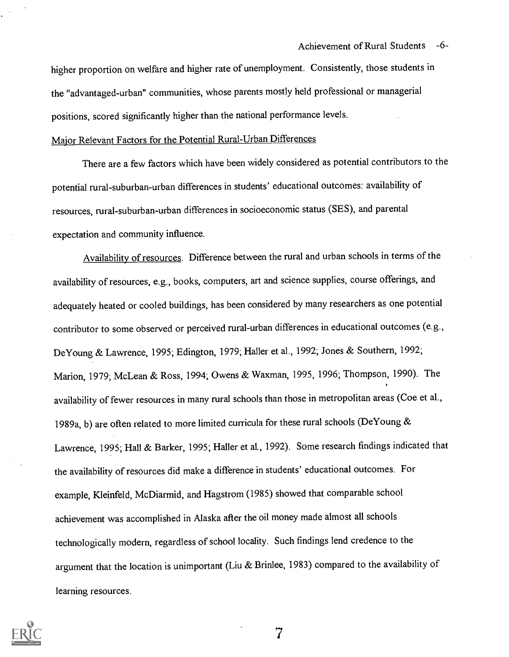higher proportion on welfare and higher rate of unemployment. Consistently, those students in the "advantaged-urban" communities, whose parents mostly held professional or managerial positions, scored significantly higher than the national performance levels.

# Major Relevant Factors for the Potential Rural-Urban Differences

There are a few factors which have been widely considered as potential contributors to the potential rural-suburban-urban differences in students' educational outcomes: availability of resources, rural-suburban-urban differences in socioeconomic status (SES), and parental expectation and community influence.

Availability of resources. Difference between the rural and urban schools in terms of the availability of resources, e.g., books, computers, art and science supplies, course offerings, and adequately heated or cooled buildings, has been considered by many researchers as one potential contributor to some observed or perceived rural-urban differences in educational outcomes (e.g., DeYoung & Lawrence, 1995; Edington, 1979; Haller et al., 1992; Jones & Southern, 1992; Marion, 1979; McLean & Ross, 1994; Owens & Waxman, 1995, 1996; Thompson, 1990). The availability of fewer resources in many rural schools than those in metropolitan areas (Coe et al., 1989a, b) are often related to more limited curricula for these rural schools (DeYoung & Lawrence, 1995; Hall & Barker, 1995; Haller et al., 1992). Some research findings indicated that the availability of resources did make a difference in students' educational outcomes. For example, Kleinfeld, McDiarmid, and Hagstrom (1985) showed that comparable school achievement was accomplished in Alaska after the oil money made almost all schools technologically modern, regardless of school locality. Such findings lend credence to the argument that the location is unimportant (Liu & Brinlee, 1983) compared to the availability of learning resources.

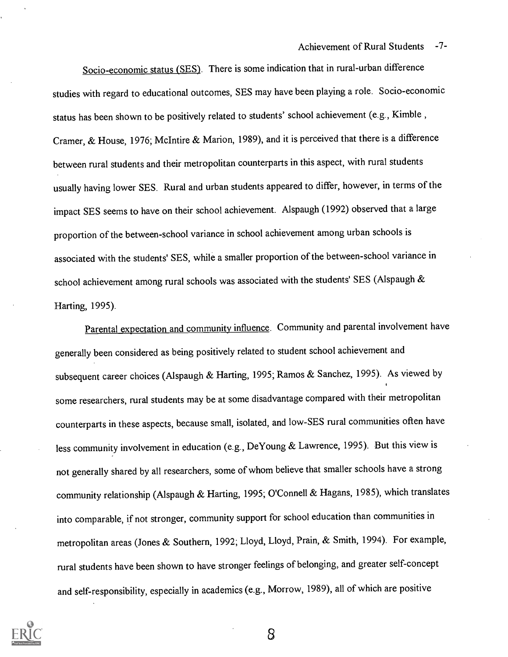Achievement of Rural Students -7-

Socio-economic status (SES). There is some indication that in rural-urban difference studies with regard to educational outcomes, SES may have been playing a role. Socio-economic status has been shown to be positively related to students' school achievement (e.g., Kimble , Cramer, & House, 1976; McIntire & Marion, 1989), and it is perceived that there is a difference between rural students and their metropolitan counterparts in this aspect, with rural students usually having lower SES. Rural and urban students appeared to differ, however, in terms of the impact SES seems to have on their school achievement. Alspaugh (1992) observed that a large proportion of the between-school variance in school achievement among urban schools is associated with the students' SES, while a smaller proportion of the between-school variance in school achievement among rural schools was associated with the students' SES (Alspaugh & Harting, 1995).

Parental expectation and community influence. Community and parental involvement have generally been considered as being positively related to student school achievement and subsequent career choices (Alspaugh & Harting, 1995; Ramos & Sanchez, 1995). As viewed by some researchers, rural students may be at some disadvantage compared with their metropolitan counterparts in these aspects, because small, isolated, and low-SES rural communities often have less community involvement in education (e.g., DeYoung & Lawrence, 1995). But this view is not generally shared by all researchers, some of whom believe that smaller schools have a strong community relationship (Alspaugh & Harting, 1995; O'Connell & Hagans, 1985), which translates into comparable, if not stronger, community support for school education than communities in metropolitan areas (Jones & Southern, 1992; Lloyd, Lloyd, Prain, & Smith, 1994). For example, rural students have been shown to have stronger feelings of belonging, and greater self-concept and self-responsibility, especially in academics (e.g., Morrow, 1989), all of which are positive

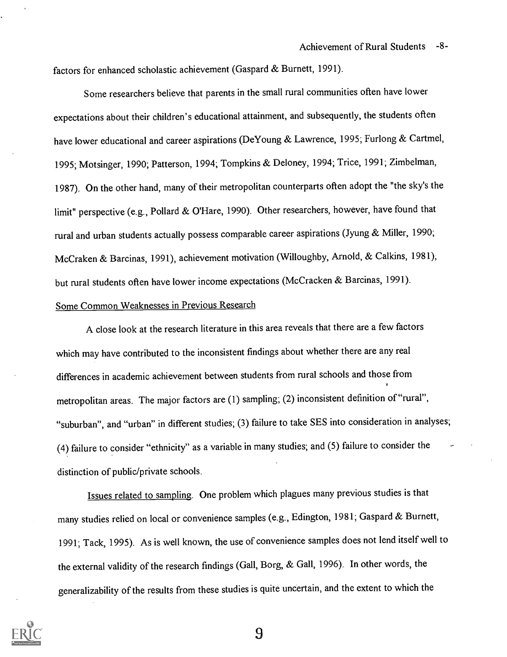factors for enhanced scholastic achievement (Gaspard & Burnett, 1991).

Some researchers believe that parents in the small rural communities often have lower expectations about their children's educational attainment, and subsequently, the students often have lower educational and career aspirations (DeYoung & Lawrence, 1995; Furlong & Cartmel, 1995; Motsinger, 1990; Patterson, 1994; Tompkins & Deloney, 1994; Trice, 1991; Zimbelman, 1987). On the other hand, many of their metropolitan counterparts often adopt the "the sky's the limit" perspective (e.g., Pollard & O'Hare, 1990). Other researchers, however, have found that rural and urban students actually possess comparable career aspirations (Jyung & Miller, 1990; McCraken & Barcinas, 1991), achievement motivation (Willoughby, Arnold, & Calkins, 1981); but rural students often have lower income expectations (McCracken & Barcinas, 1991).

# Some Common Weaknesses in Previous Research

A close look at the research literature in this area reveals that there are a few factors which may have contributed to the inconsistent findings about whether there are any real differences in academic achievement between students from rural schools and those from metropolitan areas. The major factors are (1) sampling; (2) inconsistent definition of "rural", "suburban", and "urban" in different studies; (3) failure to take SES into consideration in analyses; (4) failure to consider "ethnicity" as a variable in many studies; and (5) failure to consider the distinction of public/private schools.

Issues related to sampling. One problem which plagues many previous studies is that many studies relied on local or convenience samples (e.g., Edington, 1981; Gaspard & Burnett, 1991; Tack, 1995). As is well known, the use of convenience samples does not lend itself well to the external validity of the research findings (Gall, Borg, & Gall, 1996). In other words, the generalizability of the results from these studies is quite uncertain, and the extent to which the

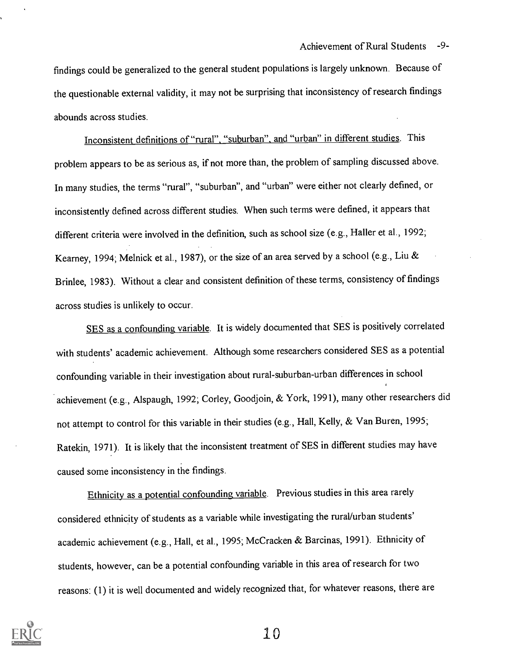findings could be generalized to the general student populations is largely unknown. Because of the questionable external validity, it may not be surprising that inconsistency of research findings abounds across studies.

Inconsistent definitions of "rural", "suburban", and "urban" in different studies. This problem appears to be as serious as, if not more than, the problem of sampling discussed above. In many studies, the terms "rural", "suburban", and "urban" were either not clearly defined, or inconsistently defined across different studies. When such terms were defined, it appears that different criteria were involved in the definition, such as school size (e.g., Haller et al., 1992; Kearney, 1994; Melnick et al., 1987), or the size of an area served by a school (e.g., Liu & Brinlee, 1983). Without a clear and consistent definition of these terms, consistency of findings across studies is unlikely to occur.

SES as a confounding variable. It is widely documented that SES is positively correlated with students' academic achievement. Although some researchers considered SES as a potential confounding variable in their investigation about rural-suburban-urban differences in school achievement (e.g., Alspaugh, 1992; Corley, Goodjoin, & York, 1991), many other researchers did not attempt to control for this variable in their studies (e.g., Hall, Kelly, & Van Buren, 1995; Ratekin, 1971). It is likely that the inconsistent treatment of SES in different studies may have caused some inconsistency in the findings.

Ethnicity as a potential confounding variable. Previous studies in this area rarely considered ethnicity of students as a variable while investigating the rural/urban students' academic achievement (e.g., Hall, et al., 1995; McCracken & Barcinas, 1991). Ethnicity of students, however, can be a potential confounding variable in this area of research for two reasons: (1) it is well documented and widely recognized that, for whatever reasons, there are

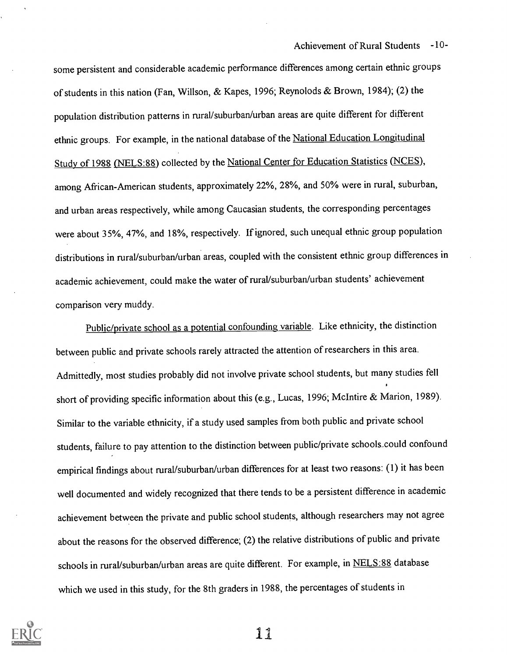Achievement of Rural Students -10-

some persistent and considerable academic performance differences among certain ethnic groups of students in this nation (Fan, Willson, & Kapes, 1996; Reynolods & Brown, 1984); (2) the population distribution patterns in rural/suburban/urban areas are quite different for different ethnic groups. For example, in the national database of the National Education Longitudinal Study of 1988 (NELS:88) collected by the National Center for Education Statistics (NCES), among African-American students, approximately 22%, 28%, and 50% were in rural, suburban, and urban areas respectively, while among Caucasian students, the corresponding percentages were about 35%, 47%, and 18%, respectively. If ignored, such unequal ethnic group population distributions in rural/suburban/urban areas, coupled with the consistent ethnic group differences in academic achievement, could make the water of rural/suburban/urban students' achievement comparison very muddy.

Public/private school as a potential confounding variable. Like ethnicity, the distinction between public and private schools rarely attracted the attention of researchers in this area. Admittedly, most studies probably did not involve private school students, but many studies fell short of providing specific information about this (e.g., Lucas, 1996; McIntire & Marion, 1989). Similar to the variable ethnicity, if a study used samples from both public and private school students, failure to pay attention to the distinction between public/private schools..could confound empirical findings about rural/suburban/urban differences for at least two reasons: (1) it has been well documented and widely recognized that there tends to be a persistent difference in academic achievement between the private and public school students, although researchers may not agree about the reasons for the observed difference; (2) the relative distributions of public and private schools in rural/suburban/urban areas are quite different. For example, in NELS:88 database which we used in this study, for the 8th graders in 1988, the percentages of students in

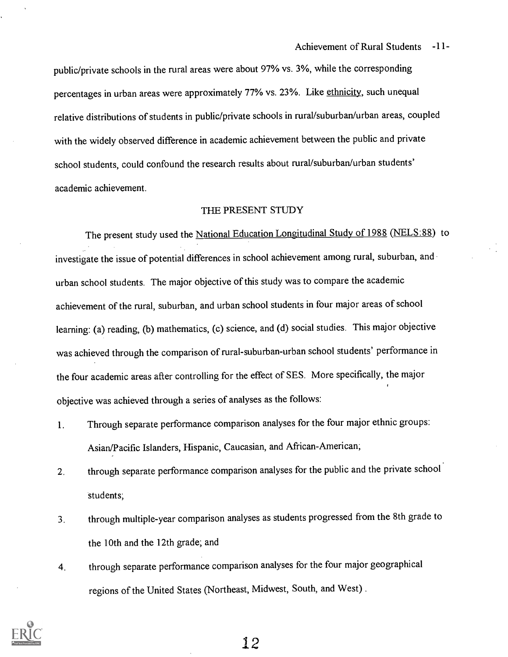public/private schools in the rural areas were about 97% vs. 3%, while the corresponding percentages in urban areas were approximately 77% vs. 23%. Like ethnicity, such unequal relative distributions of students in public/private schools in rural/suburban/urban areas, coupled with the widely observed difference in academic achievement between the public and private school students, could confound the research results about rural/suburban/urban students' academic achievement.

## THE PRESENT STUDY

The present study used the National Education Longitudinal Study of 1988 (NELS:88) to investigate the issue of potential differences in school achievement among rural, suburban, and urban school students. The major objective of this study was to compare the academic achievement of the rural, suburban, and urban school students in four major areas of school learning: (a) reading, (b) mathematics, (c) science, and (d) social studies. This major objective was achieved through the comparison of rural-suburban-urban school students' performance in the four academic areas after controlling for the effect of SES. More specifically, the major objective was achieved through a series of analyses as the follows:

- 1. Through separate performance comparison analyses for the four major ethnic groups: Asian/Pacific Islanders, Hispanic, Caucasian, and African-American;
- 2. through separate performance comparison analyses for the public and the private school students;
- 3. through multiple-year comparison analyses as students progressed from the 8th grade to the 10th and the 12th grade; and
- 4. through separate performance comparison analyses for the four major geographical regions of the United States (Northeast, Midwest, South, and West) .

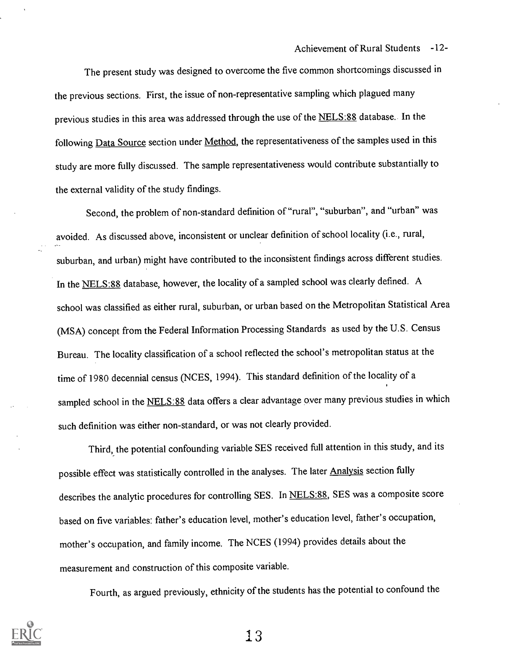The present study was designed to overcome the five common shortcomings discussed in the previous sections. First, the issue of non-representative sampling which plagued many previous studies in this area was addressed through the use of the NELS:88 database.. In the following Data Source section under Method, the representativeness of the samples used in this study are more fully discussed. The sample representativeness would contribute substantially to the external validity of the study findings.

Second, the problem of non-standard definition of "rural", "suburban", and "urban" was avoided. As discussed above, inconsistent or unclear definition of school locality (i.e., rural, suburban, and urban) might have contributed to the inconsistent findings across different studies. In the NELS:88 database, however, the locality of a sampled school was clearly defined. A school was classified as either rural, suburban, or urban based on the Metropolitan Statistical Area (MSA) concept from the Federal Information Processing Standards as used by the U.S. Census Bureau. The locality classification of a school reflected the school's metropolitan status at the time of 1980 decennial census (NCES, 1994). This standard definition of the locality of a sampled school in the NELS:88 data offers a clear advantage over many previous studies in which such definition was either non-standard, or was not clearly provided.

Third, the potential confounding variable SES received full attention in this study, and its possible effect was statistically controlled in the analyses. The later Analysis section fully describes the analytic procedures for controlling SES. In NELS:88, SES was a composite score based on five variables: father's education level, mother's education level, father's occupation, mother's occupation, and family income. The NCES (1994) provides details about the measurement and construction of this composite variable.

Fourth, as argued previously, ethnicity of the students has the potential to confound the

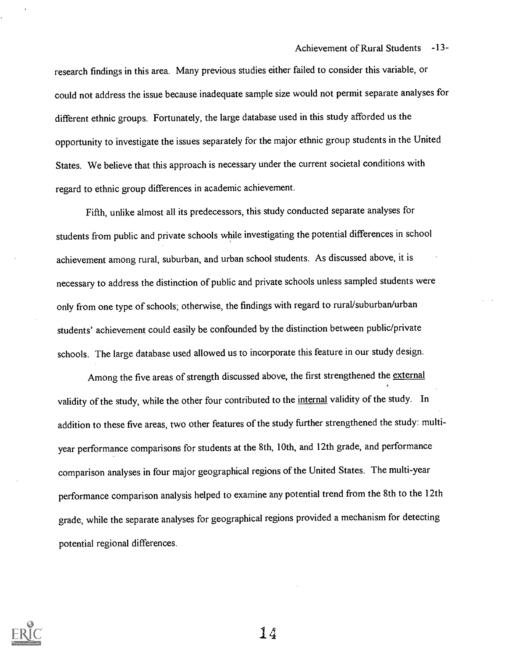research findings in this area. Many previous studies either failed to consider this variable, or could not address the issue because inadequate sample size would not permit separate analyses for different ethnic groups. Fortunately, the large database used in this study afforded us the opportunity to investigate the issues separately for the major ethnic group students in the United States. We believe that this approach is necessary under the current societal conditions with regard to ethnic group differences in academic achievement.

Fifth, unlike almost all its predecessors, this study conducted separate analyses for students from public and private schools while investigating the potential differences in school achievement among rural, suburban, and urban school students. As discussed above, it is necessary to address the distinction of public and private schools unless sampled students were only from one type of schools; otherwise, the findings with regard to rural/suburban/urban students' achievement could easily be confounded by the distinction between public/private schools. The large database used allowed us to incorporate this feature in our study design.

Among the five areas of strength discussed above, the first strengthened the external validity of the study, while the other four contributed to the internal validity of the study. In addition to these five areas, two other features of the study further strengthened the study: multiyear performance comparisons for students at the 8th, 10th, and 12th grade, and performance comparison analyses in four major geographical regions of the United States. The multi-year performance comparison analysis helped to examine any potential trend from the 8th to the 12th grade, while the separate analyses for geographical regions provided a mechanism for detecting potential regional differences.

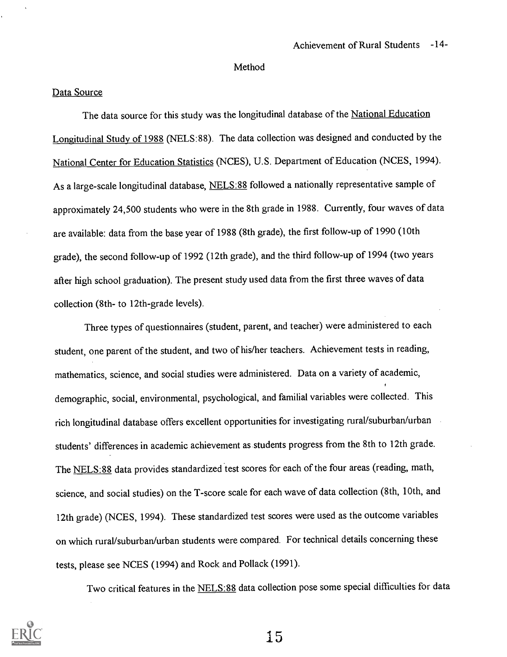### Method

## Data Source

The data source for this study was the longitudinal database of the National Education Longitudinal Study of 1988 (NELS:88). The data collection was designed and conducted by the National Center for Education Statistics (NCES), U.S. Department of Education (NCES, 1994). As a large-scale longitudinal database, NELS:88 followed a nationally representative sample of approximately 24,500 students who were in the 8th grade in 1988. Currently, four waves of data are available: data from the base year of 1988 (8th grade), the first follow-up of 1990 (10th grade), the second follow-up of 1992 (12th grade), and the third follow-up of 1994 (two years after high school graduation). The present study used data from the first three waves of data collection (8th- to 12th-grade levels).

Three types of questionnaires (student, parent, and teacher) were administered to each student, one parent of the student, and two of his/her teachers. Achievement tests in reading, mathematics, science, and social studies were administered. Data on a variety of academic, demographic, social, environmental, psychological, and familial variables were collected. This rich longitudinal database offers excellent opportunities for investigating rural/suburban/urban students' differences in academic achievement as students progress from the 8th to 12th grade. The NELS:88 data provides standardized test scores for each of the four areas (reading, math, science, and social studies) on the T-score scale for each wave of data collection (8th, 10th, and 12th grade) (NCES, 1994). These standardized test scores were used as the outcome variables on which rural/suburban/urban students were compared. For technical details concerning these tests, please see NCES (1994) and Rock and Pollack (1991).

Two critical features in the NELS:88 data collection pose some special difficulties for data

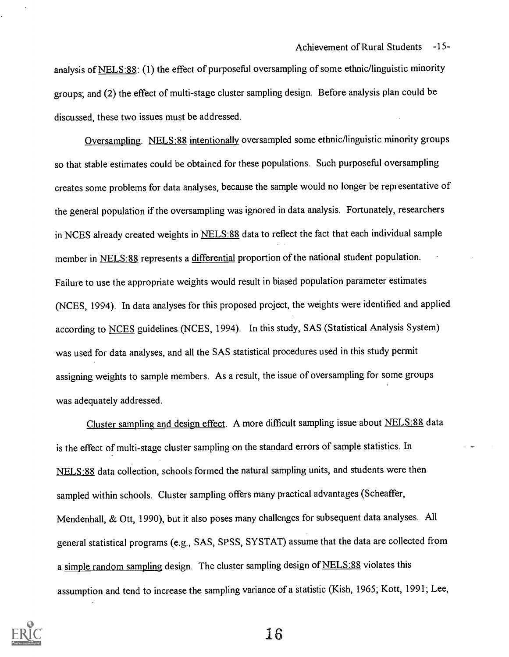analysis of NELS:88: (1) the effect of purposeful oversampling of some ethnic/linguistic minority groups; and (2) the effect of multi-stage cluster sampling design. Before analysis plan could be discussed, these two issues must be addressed.

Oversampling. NELS:88 intentionally oversampled some ethnic/linguistic minority groups so that stable estimates could be obtained for these populations. Such purposeful oversampling creates some problems for data analyses, because the sample would no longer be representative of the general population if the oversampling was ignored in data analysis. Fortunately, researchers in NCES already created weights in NELS:88 data to reflect the fact that each individual sample member in NELS:88 represents a differential proportion of the national student population. Failure to use the appropriate weights would result in biased population parameter estimates (NCES, 1994). In data analyses for this proposed project, the weights were identified and applied according to NCES guidelines (NCES, 1994). In this study, SAS (Statistical Analysis System) was used for data analyses, and all the SAS statistical procedures used in this study permit assigning weights to sample members. As a result, the issue of oversampling for some groups was adequately addressed.

Cluster sampling and design effect. A more difficult sampling issue about NELS:88 data is the effect of multi-stage cluster sampling on the standard errors of sample statistics. In NELS:88 data collection, schools formed the natural sampling units, and students were then sampled within schools. Cluster sampling offers many practical advantages (Scheaffer, Mendenhall, & Ott, 1990), but it also poses many challenges for subsequent data analyses. All general statistical programs (e.g., SAS, SPSS, SYSTAT) assume that the data are collected from a simple random sampling design. The cluster sampling design of NELS:88 violates this assumption and tend to increase the sampling variance of a statistic (Kish, 1965; Kott, 1991; Lee,

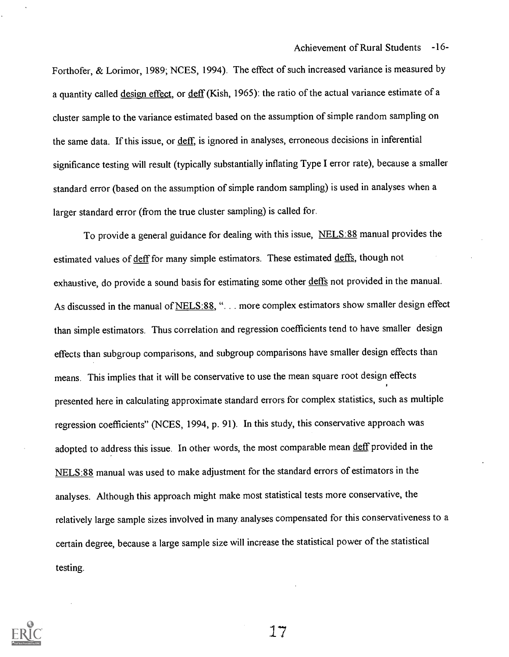Forthofer, & Lorimor, 1989; NCES, 1994). The effect of such increased variance is measured by a quantity called design effect, or deff (Kish, 1965): the ratio of the actual variance estimate of a cluster sample to the variance estimated based on the assumption of simple random sampling on the same data. If this issue, or deff, is ignored in analyses, erroneous decisions in inferential significance testing will result (typically substantially inflating Type I error rate), because a smaller standard error (based on the assumption of simple random sampling) is used in analyses when a larger standard error (from the true cluster sampling) is called for.

To provide a general guidance for dealing with this issue, NELS:88 manual provides the estimated values of deff for many simple estimators. These estimated deffs, though not exhaustive, do provide a sound basis for estimating some other deffs not provided in the manual. As discussed in the manual of NELS:88, "... more complex estimators show smaller design effect than simple estimators. Thus correlation and regression coefficients tend to have smaller design effects than subgroup comparisons, and subgroup comparisons have smaller design effects than means. This implies that it will be conservative to use the mean square root design effects presented here in calculating approximate standard errors for complex statistics, such as multiple regression coefficients" (NCES, 1994, p. 91). In this study, this conservative approach was adopted to address this issue. In other words, the most comparable mean deff provided in the NELS:88 manual was used to make adjustment for the standard errors of estimators in the analyses. Although this approach might make most statistical tests more conservative, the relatively large sample sizes involved in many analyses compensated for this conservativeness to a certain degree, because a large sample size will increase the statistical power of the statistical testing.

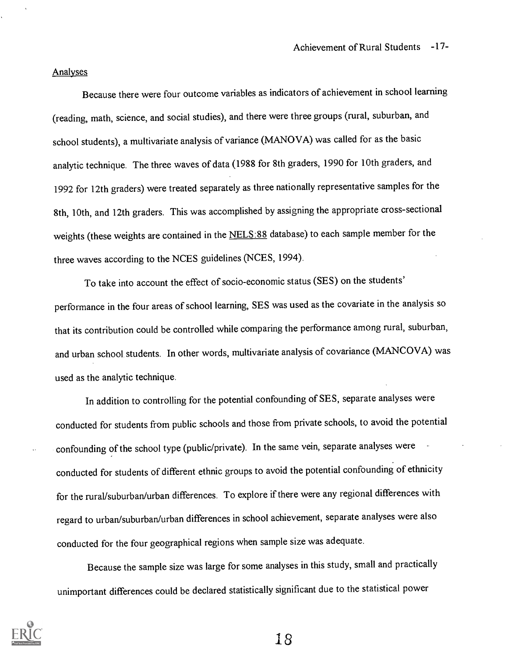#### Analyses

Because there were four outcome variables as indicators of achievement in school learning (reading, math, science, and social studies), and there were three groups (rural, suburban, and school students), a multivariate analysis of variance (MANOVA) was called for as the basic analytic technique. The three waves of data (1988 for 8th graders, 1990 for 10th graders, and 1992 for 12th graders) were treated separately as three nationally representative samples for the 8th, 10th, and 12th graders. This was accomplished by assigning the appropriate cross-sectional weights (these weights are contained in the NELS:88 database) to each sample member for the three waves according to the NCES guidelines (NCES, 1994).

To take into account the effect of socio-economic status (SES) on the students' performance in the four areas of school learning, SES was used as the covariate in the analysis so that its contribution could be controlled while comparing the performance among rural, suburban, and urban school students. In other words, multivariate analysis of covariance (MANCOVA) was used as the analytic technique.

In addition to controlling for the potential confounding of SES, separate analyses were conducted for students from public schools and those from private schools, to avoid the potential confounding of the school type (public/private). In the same vein, separate analyses were conducted for students of different ethnic groups to avoid the potential confounding of ethnicity for the rural/suburban/urban differences. To explore if there were any regional differences with regard to urban/suburban/urban differences in school achievement, separate analyses were also conducted for the four geographical regions when sample size was adequate.

Because the sample size was large for some analyses in this study, small and practically unimportant differences could be declared statistically significant due to the statistical power

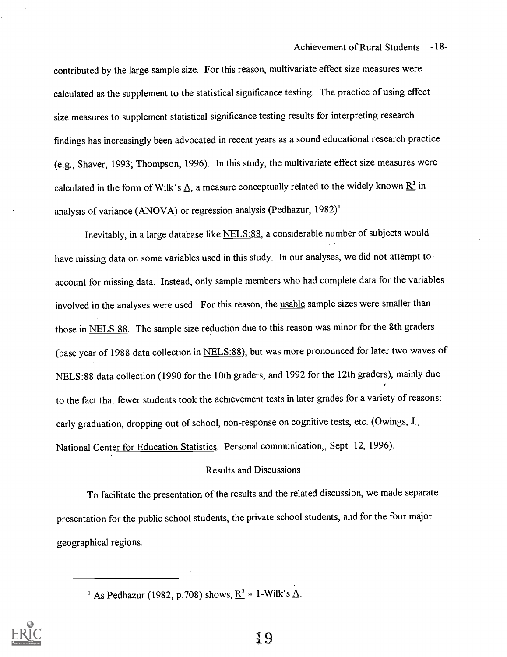contributed by the large sample size. For this reason, multivariate effect size measures were calculated as the supplement to the statistical significance testing. The practice of using effect size measures to supplement statistical significance testing results for interpreting research findings has increasingly been advocated in recent years as a sound educational research practice (e.g., Shaver, 1993; Thompson, 1996). In this study, the multivariate effect size measures were calculated in the form of Wilk's  $\underline{\Lambda}$ , a measure conceptually related to the widely known  $\underline{R}^2$  in analysis of variance (ANOVA) or regression analysis (Pedhazur, 1982)'.

Inevitably, in a large database like NELS:88, a considerable number of subjects would have missing data on some variables used in this study. In our analyses, we did not attempt to account for missing data. Instead, only sample members who had complete data for the variables involved in the analyses were used. For this reason, the usable sample sizes were smaller than those in NELS:88. The sample size reduction due to this reason was minor for the 8th graders (base year of 1988 data collection in NELS:88), but was more pronounced for later two waves of NELS:88 data collection (1990 for the 10th graders, and 1992 for the 12th graders), mainly due to the fact that fewer students took the achievement tests in later grades for a variety of reasons: early graduation, dropping out of school, non-response on cognitive tests, etc. (Owings, J., National Center for Education Statistics. Personal communication,, Sept. 12, 1996).

## Results and Discussions

To facilitate the presentation of the results and the related discussion, we made separate presentation for the public school students, the private school students, and for the four major geographical regions.



<sup>&</sup>lt;sup>1</sup> As Pedhazur (1982, p.708) shows,  $R^2 \approx 1$ -Wilk's  $\Delta$ .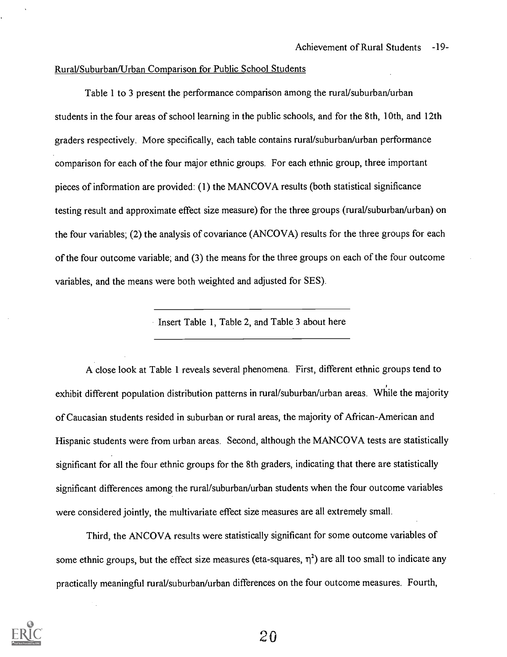#### Rural/Suburban/Urban Comparison for Public School Students

Table 1 to 3 present the performance comparison among the rural/suburban/urban students in the four areas of school learning in the public schools, and for the 8th, 10th, and 12th graders respectively. More specifically, each table contains rural/suburban/urban performance comparison for each of the four major ethnic groups. For each ethnic group, three important pieces of information are provided: (1) the MANCOVA results (both statistical significance testing result and approximate effect size measure) for the three groups (rural/suburban/urban) on the four variables; (2) the analysis of covariance (ANCOVA) results for the three groups for each of the four outcome variable; and (3) the means for the three groups on each of the four outcome variables, and the means were both weighted and adjusted for SES).

Insert Table 1, Table 2, and Table 3 about here

A close look at Table 1 reveals several phenomena. First, different ethnic groups tend to exhibit different population distribution patterns in rural/suburban/urban areas. While the majority of Caucasian students resided in suburban or rural areas, the majority of African-American and Hispanic students were from urban areas. Second, although the MANCOVA tests are statistically significant for all the four ethnic groups for the 8th graders, indicating that there are statistically significant differences among the rural/suburban/urban students when the four outcome variables were considered jointly, the multivariate effect size measures are all extremely small.

Third, the ANCOVA results were statistically significant for some outcome variables of some ethnic groups, but the effect size measures (eta-squares,  $\eta^2$ ) are all too small to indicate any practically meaningful rural/suburban/urban differences on the four outcome measures. Fourth,

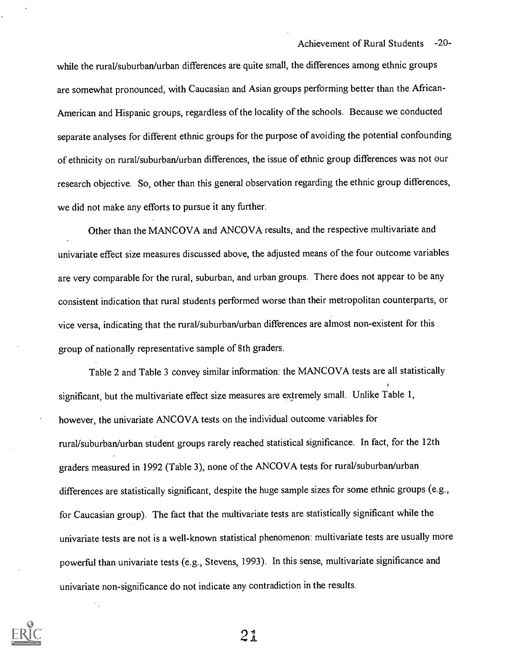Achievement of Rural Students -20-

while the rural/suburban/urban differences are quite small, the differences among ethnic groups are somewhat pronounced, with Caucasian and Asian groups performing better than the African-American and Hispanic groups, regardless of the locality of the schools. Because we conducted separate analyses for different ethnic groups for the purpose of avoiding the potential confounding of ethnicity on rural/suburban/urban differences, the issue of ethnic group differences was not our research objective. So, other than this general observation regarding the ethnic group differences, we did not make any efforts to pursue it any further.

Other than the MANCOVA and ANCOVA results, and the respective multivariate and univariate effect size measures discussed above, the adjusted means of the four outcome variables are very comparable for the rural, suburban, and urban groups. There does not appear to be any consistent indication that rural students performed worse than their metropolitan counterparts, or vice versa, indicating that the rural/suburban/urban differences are almost non-existent for this group of nationally representative sample of 8th graders.

Table 2 and Table 3 convey similar information: the MANCOVA tests are all statistically significant, but the multivariate effect size measures are extremely small. Unlike Table 1, however, the univariate ANCOVA tests on the individual outcome variables for rural/suburban/urban student groups rarely reached statistical significance. In fact, for the 12th graders measured in 1992 (Table 3), none of the ANCOVA tests for rural/suburban/urban differences are statistically significant, despite the huge sample sizes for some ethnic groups (e.g., for Caucasian group). The fact that the multivariate tests are statistically significant while the univariate tests are not is a well-known statistical phenomenon: multivariate tests are usually more powerful than univariate tests (e.g., Stevens, 1993). In this sense, multivariate significance and univariate non-significance do not indicate any contradiction in the results.

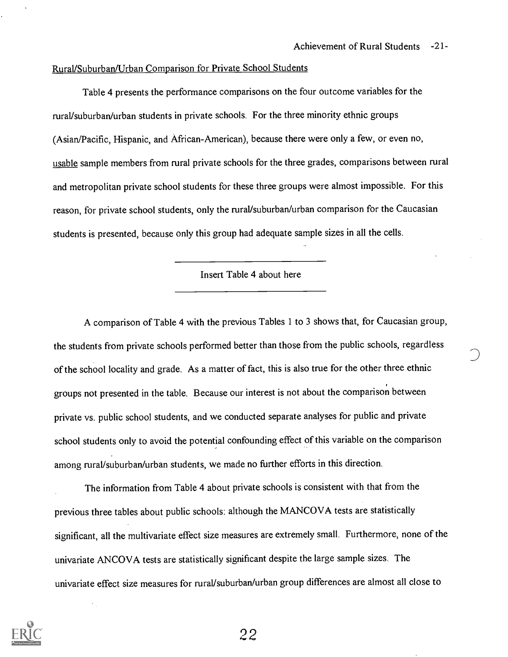## Rural/Suburban/Urban Comparison for Private School Students

Table 4 presents the performance comparisons on the four outcome variables for the rural/suburban/urban students in private schools. For the three minority ethnic groups (Asian/Pacific, Hispanic, and African-American), because there were only a few, or even no, usable sample members from rural private schools for the three grades, comparisons between rural and metropolitan private school students for these three groups were almost impossible. For this reason, for private school students, only the rural/suburban/urban comparison for the Caucasian students is presented, because only this group had adequate sample sizes in all the cells.

Insert Table 4 about here

A comparison of Table 4 with the previous Tables 1 to 3 shows that, for Caucasian group, the students from private schools performed better than those from the public schools, regardless of the school locality and grade. As a matter of fact, this is also true for the other three ethnic groups not presented in the table. Because our interest is not about the comparison between private vs. public school students, and we conducted separate analyses for public and private school students only to avoid the potential confounding effect of this variable on the comparison among rural/suburban/urban students, we made no further efforts in this direction.

The information from Table 4 about private schools is consistent with that from the previous three tables about public schools: although the MANCOVA tests are statistically significant, all the multivariate effect size measures are extremely small. Furthermore, none of the univariate ANCOVA tests are statistically significant despite the large sample sizes. The univariate effect size measures for rural/suburban/urban group differences are almost all close to

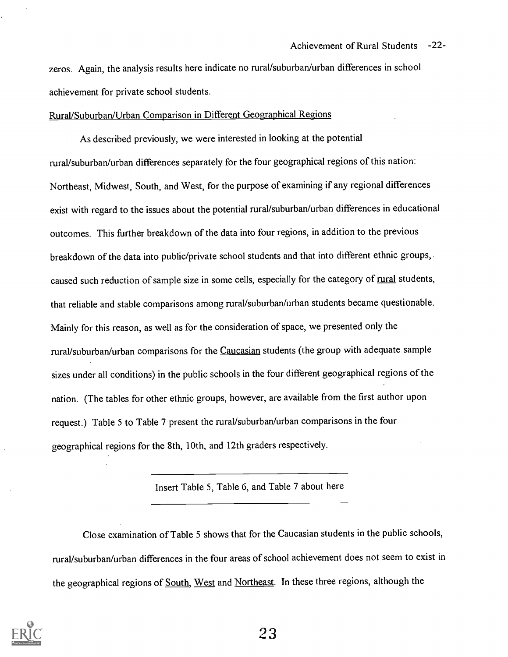zeros. Again, the analysis results here indicate no rural/suburban/urban differences in school achievement for private school students.

#### Rural/Suburban/Urban Comparison in Different Geographical Regions

As described previously, we were interested in looking at the potential rural/suburban/urban differences separately for the four geographical regions of this nation: Northeast, Midwest, South, and West, for the purpose of examining if any regional differences exist with regard to the issues about the potential rural/suburban/urban differences in educational outcomes. This further breakdown of the data into four regions, in addition to the previous breakdown of the data into public/private school students and that into different ethnic groups, caused such reduction of sample size in some cells, especially for the category of rural students, that reliable and stable comparisons among rural/suburban/urban students became questionable. Mainly for this reason, as well as for the consideration of space, we presented only the rural/suburban/urban comparisons for the Caucasian students (the group with adequate sample sizes under all conditions) in the public schools in the four different geographical regions of the nation. (The tables for other ethnic groups, however, are available from the first author upon request.) Table 5 to Table 7 present the ruraUsuburban/urban comparisons in the four geographical regions for the 8th, 10th, and 12th graders respectively.

Insert Table 5, Table 6, and Table 7 about here

Close examination of Table 5 shows that for the Caucasian students in the public schools, ruraUsuburban/urban differences in the four areas of school achievement does not seem to exist in the geographical regions of South, West and Northeast. In these three regions, although the

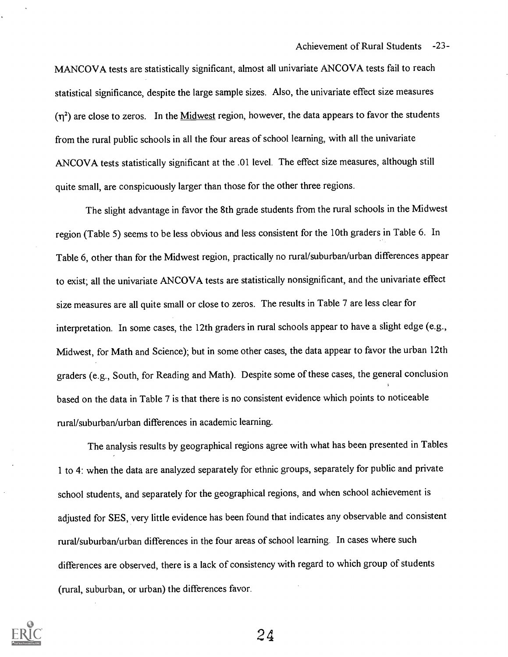MANCOVA tests are statistically significant, almost all univariate ANCOVA tests fail to reach statistical significance, despite the large sample sizes. Also, the univariate effect size measures  $(\eta^2)$  are close to zeros. In the Midwest region, however, the data appears to favor the students from the rural public schools in all the four areas of school learning, with all the univariate ANCOVA tests statistically significant at the .01 level. The effect size measures, although still quite small, are conspicuously larger than those for the other three regions.

The slight advantage in favor the 8th grade students from the rural schools in the Midwest region (Table 5) seems to be less obvious and less consistent for the 10th graders in Table 6. In Table 6, other than for the Midwest region, practically no rural/suburban/urban differences appear to exist; all the univariate ANCOVA tests are statistically nonsignificant, and the univariate effect size measures are all quite small or close to zeros. The results in Table 7 are less clear for interpretation. In some cases, the 12th graders in rural schools appear to have a slight edge (e.g., Midwest, for Math and Science); but in some other cases, the data appear to favor the urban 12th graders (e.g., South, for Reading and Math). Despite some of these cases, the general conclusion based on the data in Table 7 is that there is no consistent evidence which points to noticeable rural/suburban/urban differences in academic learning.

The analysis results by geographical regions agree with what has been presented in Tables 1 to 4: when the data are analyzed separately for ethnic groups, separately for public and private school students, and separately for the geographical regions, and when school achievement is adjusted for SES, very little evidence has been found that indicates any observable and consistent rural/suburban/urban differences in the four areas of school learning. In cases where such differences are observed, there is a lack of consistency with regard to which group of students (rural, suburban, or urban) the differences favor.

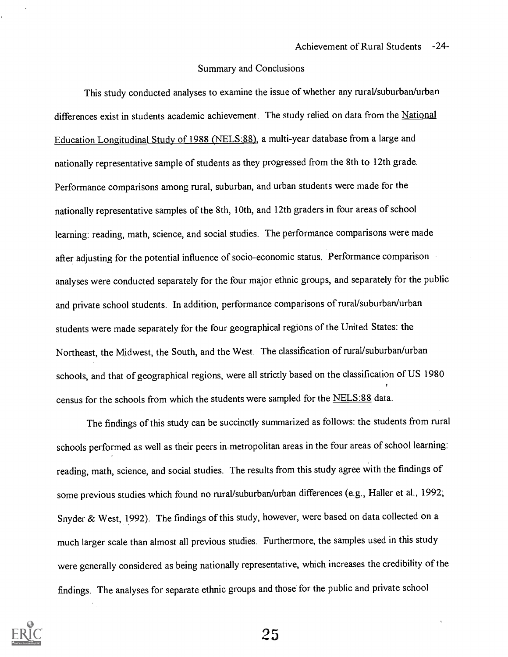#### Summary and Conclusions

This study conducted analyses to examine the issue of whether any rural/suburban/urban differences exist in students academic achievement. The study relied on data from the National Education Longitudinal Study of 1988 (NELS:88), a multi-year database from a large and nationally representative sample of students as they progressed from the 8th to 12th grade. Performance comparisons among rural, suburban, and urban students were made for the nationally representative samples of the 8th, 10th, and 12th graders in four areas of school learning: reading, math, science, and social studies. The performance comparisons were made after adjusting for the potential influence of socio-economic status. Performance comparison analyses were conducted separately for the four major ethnic groups, and separately for the public and private school students. In addition, performance comparisons of rural/suburban/urban students were made separately for the four geographical regions of the United States: the Northeast, the Midwest, the South, and the West. The classification of rural/suburban/urban schools, and that of geographical regions, were all strictly based on the classification of US 1980 census for the schools from which the students were sampled for the NELS:88 data.

The findings of this study can be succinctly summarized as follows: the students from rural schools performed as well as their peers in metropolitan areas in the four areas of school learning: reading, math, science, and social studies. The results from this study agree with the findings of some previous studies which found no rural/suburban/urban differences (e.g., Haller et al., 1992; Snyder & West, 1992). The findings of this study, however, were based on data collected on a much larger scale than almost all previous studies. Furthermore, the samples used in this study were generally considered as being nationally representative, which increases the credibility of the findings. The analyses for separate ethnic groups and those for the public and private school

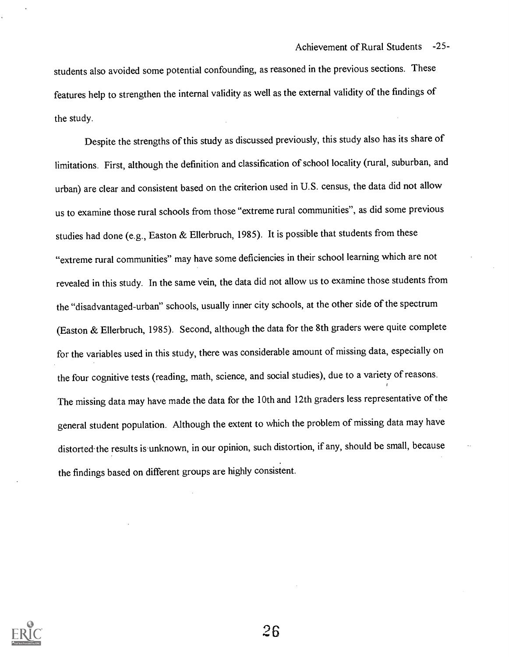students also avoided some potential confounding, as reasoned in the previous sections. These features help to strengthen the internal validity as well as the external validity of the findings of the study.

Despite the strengths of this study as discussed previously, this study also has its share of limitations. First, although the definition and classification of school locality (rural, suburban, and urban) are clear and consistent based on the criterion used in U.S. census, the data did not allow us to examine those rural schools from those "extreme rural communities", as did some previous studies had done (e.g., Easton & Ellerbruch, 1985). It is possible that students from these "extreme rural communities" may have some deficiencies in their school learning which are not revealed in this study. In the same vein, the data did not allow us to examine those students from the "disadvantaged-urban" schools, usually inner city schools, at the other side of the spectrum (Easton & Ellerbruch, 1985). Second, although the data for the 8th graders were quite complete for the variables used in this study, there was considerable amount of missing data, especially on the four cognitive tests (reading, math, science, and social studies), due to a variety of reasons. The missing data may have made the data for the 10th and 12th graders less representative of the general student population. Although the extent to which the problem of missing data may have distorted the results is unknown, in our opinion, such distortion, if any, should be small, because the findings based on different groups are highly consistent.

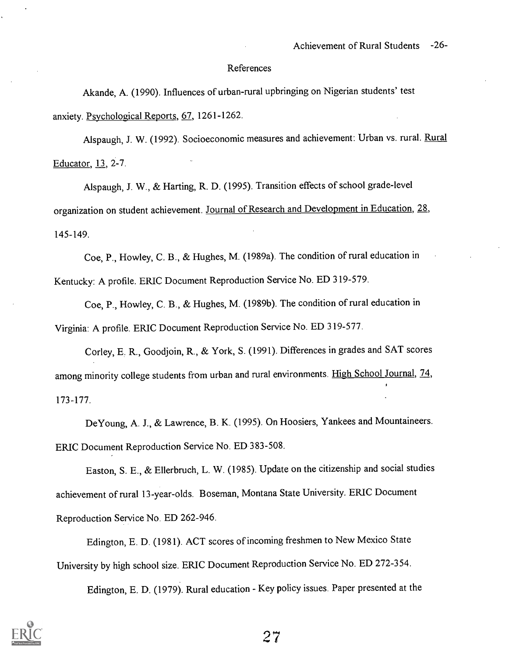#### References

Akande, A. (1990). Influences of urban-rural upbringing on Nigerian students' test anxiety. Psychological Reports, 67, 1261-1262.

Alspaugh, J. W. (1992). Socioeconomic measures and achievement: Urban vs. rural. Rural Educator, 13, 2-7.

Alspaugh, J. W., & Harting, R. D. (1995). Transition effects of school grade-level organization on student achievement. Journal of Research and Development in Education, 28, 145-149.

Coe, P., Howley, C. B., & Hughes, M. (1989a). The condition of rural education in Kentucky: A profile. ERIC Document Reproduction Service No. ED 319-579.

Coe, P., Howley, C. B., & Hughes, M. (1989b). The condition of rural education in Virginia: A profile. ERIC Document Reproduction Service No. ED 319-577.

Corley, E. R., Goodjoin, R., & York, S. (1991). Differences in grades and SAT scores among minority college students from urban and rural environments. High School Journal, 74, 173-177.

DeYoung, A. J., & Lawrence, B. K. (1995). On Hoosiers, Yankees and Mountaineers. ERIC Document Reproduction Service No. ED 383-508.

Easton, S. E., & Ellerbruch, L. W. (1985). Update on the citizenship and social studies achievement of rural 13-year-olds. Boseman, Montana State University. ERIC Document Reproduction Service No. ED 262-946.

Edington, E. D. (1981). ACT scores of incoming freshmen to New Mexico State University by high school size. ERIC Document Reproduction Service No. ED 272-354.

Edington, E. D. (1979). Rural education - Key policy issues. Paper presented at the



?7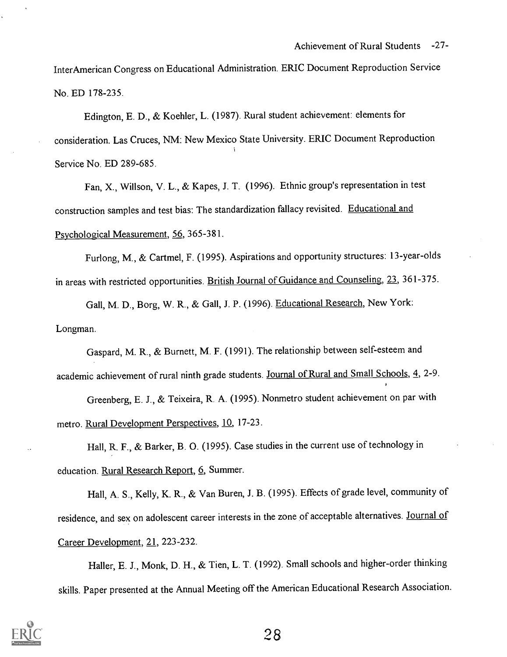InterAmerican Congress on Educational Administration. ERIC Document Reproduction Service No. ED 178-235.

Edington, E. D., & Koehler, L. (1987). Rural student achievement: elements for consideration. Las Cruces, NM: New Mexico State University. ERIC Document Reproduction Service No. ED 289-685.

Fan, X., Willson, V. L., & Kapes, J. T. (1996). Ethnic group's representation in test construction samples and test bias: The standardization fallacy revisited. Educational and Psychological Measurement, 56, 365-381.

Furlong, M., & Cartmel, F. (1995). Aspirations and opportunity structures: 13-year-olds in areas with restricted opportunities. British Journal of Guidance and Counseling, 23, 361-375.

Gall, M. D., Borg, W. R., & Gall, J. P. (1996). Educational Research, New York: Longman.

Gaspard, M. R., & Burnett, M. F. (1991). The relationship between self-esteem and academic achievement of rural ninth grade students. Journal of Rural and Small Schools, 4, 2-9.

Greenberg, E. J., & Teixeira, R. A. (1995). Nonmetro student achievement on par with metro. Rural Development Perspectives, 10, 17-23.

Hall, R. F., & Barker, B. 0. (1995). Case studies in the current use of technology in education. Rural Research Report, 6, Summer.

Hall, A. S., Kelly, K. R., & Van Buren, J. B. (1995). Effects of grade level, community of residence, and sex on adolescent career interests in the zone of acceptable alternatives. Journal of Career Development, 21, 223-232.

Haller, E. J., Monk, D. H., & Tien, L. T. (1992). Small schools and higher-order thinking skills. Paper presented at the Annual Meeting off the American Educational Research Association.

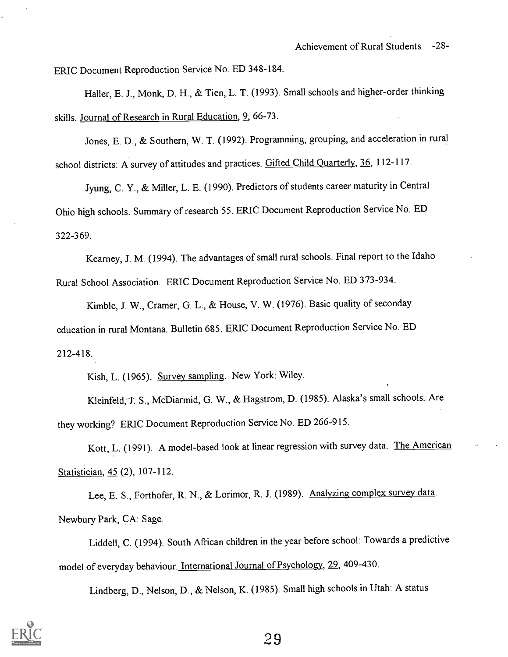ERIC Document Reproduction Service No. ED 348-184.

Haller, E. J., Monk, D. H., & Tien, L. T. (1993). Small schools and higher-order thinking skills. Journal of Research in Rural Education, 9, 66-73.

Jones, E. D., & Southern, W. T. (1992). Programming, grouping, and acceleration in rural school districts: A survey of attitudes and practices. Gifted Child Quarterly, 36, 112-117.

Jyung, C. Y., & Miller, L. E. (1990). Predictors of students career maturity in Central Ohio high schools. Summary of research 55. ERIC Document Reproduction Service No. ED 322-369.

Kearney, J. M. (1994). The advantages of small rural schools. Final report to the Idaho Rural School Association. ERIC Document Reproduction Service No. ED 373-934.

Kimble, J. W., Cramer, G. L., & House, V. W. (1976). Basic quality of seconday education in rural Montana. Bulletin 685. ERIC Document Reproduction Service No. ED 212-418.

Kish, L. (1965). Survey sampling. New York: Wiley.

Kleinfeld, J. S., McDiarmid, G. W., & Hagstrom, D. (1985). Alaska's small schools. Are they working? ERIC Document Reproduction Service No. ED 266-915.

Kott, L. (1991). A model-based look at linear regression with survey data. The American Statistician, 45 (2), 107-112.

Lee, E. S., Forthofer, R. N., & Lorimor, R. J. (1989). Analyzing complex survey data. Newbury Park, CA: Sage.

Liddell, C. (1994). South African children in the year before school: Towards a predictive model of everyday behaviour. International Journal of Psychology, 29, 409-430.

Lindberg, D., Nelson, D., & Nelson, K. (1985). Small high schools in Utah: A status

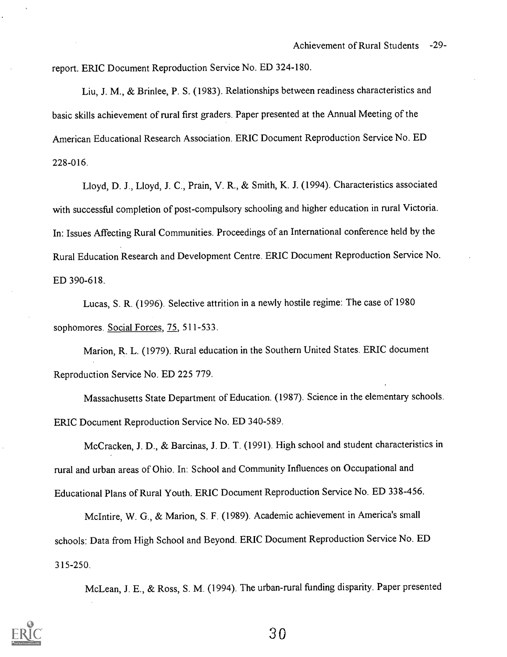report. ERIC Document Reproduction Service No. ED 324-180.

Liu, J. M., & Brinlee, P. S. (1983). Relationships between readiness characteristics and basic skills achievement of rural first graders. Paper presented at the Annual Meeting of the American Educational Research Association. ERIC Document Reproduction Service No. ED 228-016.

Lloyd, D. J., Lloyd, J. C., Prain, V. R., & Smith, K. J. (1994). Characteristics associated with successful completion of post-compulsory schooling and higher education in rural Victoria. In: Issues Affecting Rural Communities. Proceedings of an International conference held by the Rural Education Research and Development Centre. ERIC Document Reproduction Service No. ED 390-618.

Lucas, S. R. (1996). Selective attrition in a newly hostile regime: The case of 1980 sophomores. Social Forces, 75, 511-533.

Marion, R. L. (1979). Rural education in the Southern United States. ERIC document Reproduction Service No. ED 225 779.

Massachusetts State Department of Education. (1987). Science in the elementary schools. ERIC Document Reproduction Service No. ED 340-589.

McCracken, J. D., & Barcinas, J. D. T. (1991). High school and student characteristics in rural and urban areas of Ohio. In: School and Community Influences on Occupational and Educational Plans of Rural Youth. ERIC Document Reproduction Service No. ED 338-456.

McIntire, W. G., & Marion, S. F. (1989). Academic achievement in America's small schools: Data from High School and Beyond. ERIC Document Reproduction Service No. ED 315-250.

McLean, J. E., & Ross, S. M. (1994). The urban-rural funding disparity. Paper presented

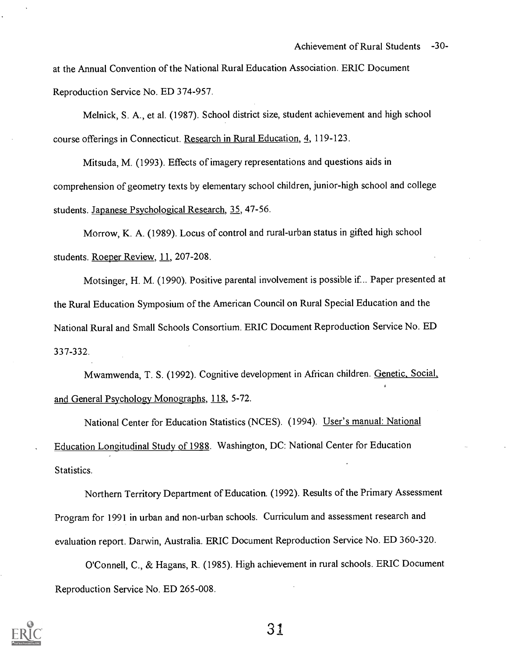at the Annual Convention of the National Rural Education Association. ERIC Document Reproduction Service No. ED 374-957.

Melnick, S. A., et al. (1987). School district size, student achievement and high school course offerings in Connecticut. Research in Rural Education, 4, 119-123.

Mitsuda, M. (1993). Effects of imagery representations and questions aids in comprehension of geometry texts by elementary school children, junior-high school and college students. Japanese Psychological Research, 35, 47-56.

Morrow, K. A. (1989). Locus of control and rural-urban status in gifted high school students. Roeper Review, 11, 207-208.

Motsinger, H. M. (1990). Positive parental involvement is possible if .. Paper presented at the Rural Education Symposium of the American Council on Rural Special Education and the National Rural and Small Schools Consortium. ERIC Document Reproduction Service No. ED 337-332.

Mwamwenda, T. S. (1992). Cognitive development in African children. Genetic, Social and General Psychology Monographs, 118, 5-72.

National Center for Education Statistics (NCES). (1994). User's manual: National Education Longitudinal Study of 1988. Washington, DC: National Center for Education Statistics.

Northern Territory Department of Education. (1992). Results of the Primary Assessment Program for 1991 in urban and non-urban schools. Curriculum and assessment research and evaluation report. Darwin, Australia. ERIC Document Reproduction Service No. ED 360-320.

O'Connell, C., & Hagans, R. (1985). High achievement in rural schools. ERIC Document Reproduction Service No. ED 265-008.

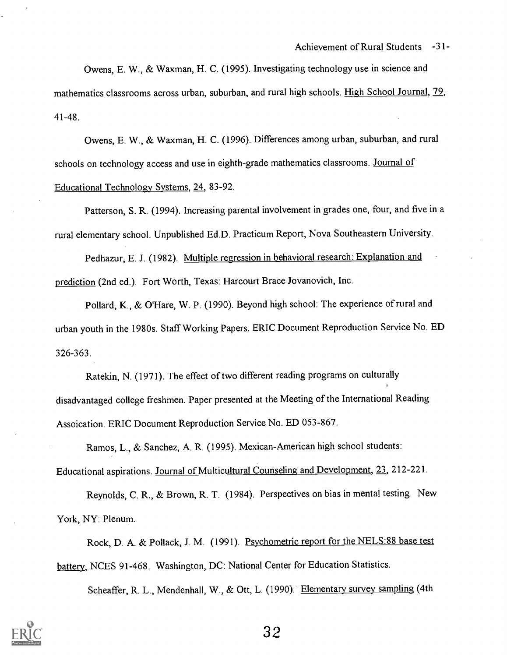Owens, E. W., & Waxman, H. C. (1995). Investigating technology use in science and mathematics classrooms across urban, suburban, and rural high schools. High School Journal, 79, 41-48.

Owens, E. W., & Waxman, H. C. (1996). Differences among urban, suburban, and rural schools on technology access and use in eighth-grade mathematics classrooms. Journal of Educational Technology Systems, 24, 83-92.

Patterson, S. R. (1994). Increasing parental involvement in grades one, four, and five in a rural elementary school. Unpublished Ed.D. Practicum Report, Nova Southeastern University.

Pedhazur, E. J. (1982). Multiple regression in behavioral research: Explanation and prediction (2nd ed.). Fort Worth, Texas: Harcourt Brace Jovanovich, Inc.

Pollard, K., & O'Hare, W. P. (1990). Beyond high school: The experience of rural and urban youth in the 1980s. Staff Working Papers. ERIC Document Reproduction Service No. ED 326-363.

Ratekin, N. (1971). The effect of two different reading programs on culturally disadvantaged college freshmen. Paper presented at the Meeting of the International Reading Assoication. ERIC Document Reproduction Service No. ED 053-867.

Ramos, L., & Sanchez, A. R. (1995). Mexican-American high school students: Educational aspirations. Journal of Multicultural Counseling and Development, 23, 212-221.

Reynolds, C. R., & Brown, R. T. (1984). Perspectives on bias in mental testing. New York, NY: Plenum.

Rock, D. A. & Pollack, J. M. (1991). Psychometric report for the NELS:88 base test battery, NCES 91-468. Washington, DC: National Center for Education Statistics.

Scheaffer, R. L., Mendenhall, W., & Ott, L. (1990). Elementary survey sampling (4th

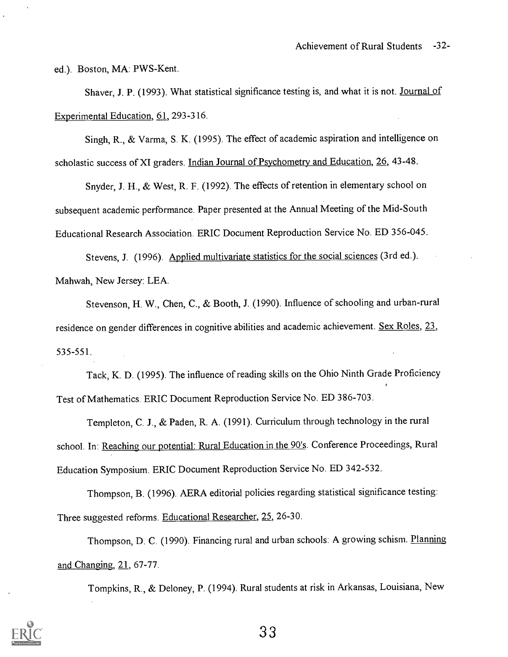ed.). Boston, MA: PWS-Kent.

Shaver, J. P. (1993). What statistical significance testing is, and what it is not. Journal of Experimental Education, 61, 293-316.

Singh, R., & Varma, S. K. (1995). The effect of academic aspiration and intelligence on scholastic success of XI graders. Indian Journal of Psychometry and Education, 26, 43-48.

Snyder, J. H., & West, R. F. (1992). The effects of retention in elementary school on subsequent academic performance. Paper presented at the Annual Meeting of the Mid-South Educational Research Association. ERIC Document Reproduction Service No. ED 356-045.

Stevens, J. (1996). Applied multivariate statistics for the social sciences (3rd ed.). Mahwah, New Jersey: LEA.

Stevenson, H. W., Chen, C., & Booth, J. (1990). Influence of schooling and urban-rural residence on gender differences in cognitive abilities and academic achievement. Sex Roles, 23, 535-551.

Tack, K. D. (1995). The influence of reading skills on the Ohio Ninth Grade Proficiency Test of Mathematics. ERIC Document Reproduction Service No. ED 386-703.

Templeton, C. J., & Paden, R. A. (1991). Curriculum through technology in the rural school. In: Reaching our potential: Rural Education in the 90's. Conference Proceedings, Rural Education Symposium. ERIC Document Reproduction Service No. ED 342-532.

Thompson, B. (1996). AERA editorial policies regarding statistical significance testing: Three suggested reforms. Educational Researcher, 25, 26-30.

Thompson, D. C. (1990). Financing rural and urban schools: A growing schism. Planning and Changing, 21, 67-77.

Tompkins, R., & Deloney, P. (1994). Rural students at risk in Arkansas, Louisiana, New

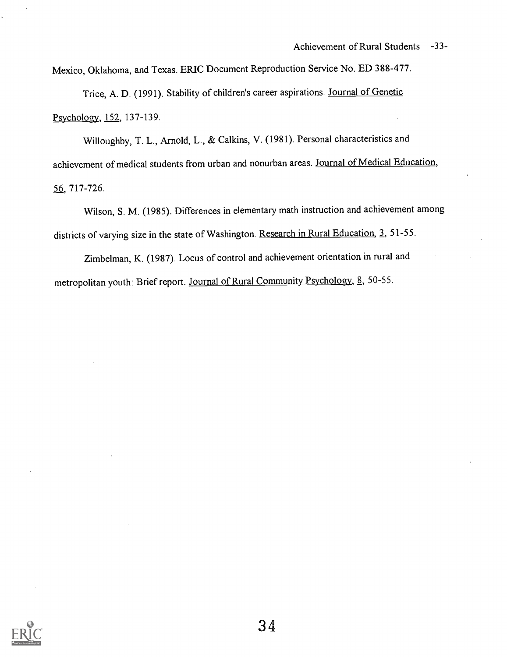Mexico, Oklahoma, and Texas. ERIC Document Reproduction Service No. ED 388-477.

Trice, A. D. (1991). Stability of children's career aspirations. Journal of Genetic Psychology, 152, 137-139.

Willoughby, T. L., Arnold, L., & Calkins, V. (1981). Personal characteristics and achievement of medical students from urban and nonurban areas. Journal of Medical Education, 56, 717-726.

Wilson, S. M. (1985). Differences in elementary math instruction and achievement among districts of varying size in the state of Washington. Research in Rural Education, 3, 51-55.

Zimbelman, K. (1987). Locus of control and achievement orientation in rural and metropolitan youth: Brief report. Journal of Rural Community Psychology, 8, 50-55.

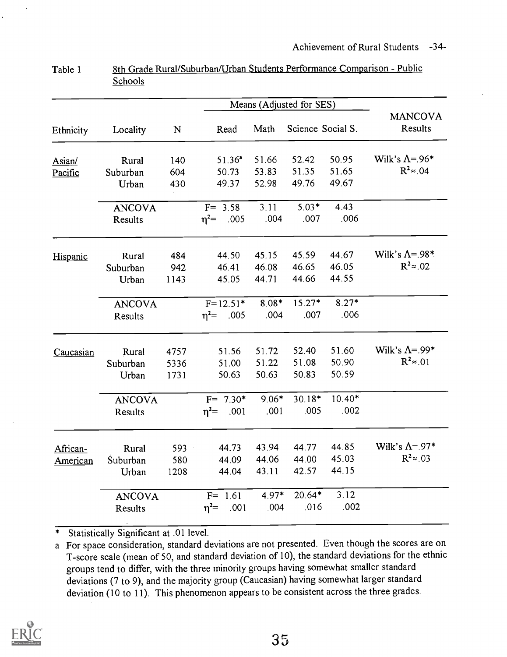|           |                |      |                  |         | Means (Adjusted for SES) |          |                           |
|-----------|----------------|------|------------------|---------|--------------------------|----------|---------------------------|
| Ethnicity | Locality       | N    | Read             | Math    | Science Social S.        |          | <b>MANCOVA</b><br>Results |
| Asian/    | Rural          | 140  | $51.36^a$        | 51.66   | 52.42                    | 50.95    | Wilk's $\Lambda$ =.96*    |
| Pacific   | Suburban       | 604  | 50.73            | 53.83   | 51.35                    | 51.65    | $R^2 \approx 0.04$        |
|           | Urban          | 430  | 49.37            | 52.98   | 49.76                    | 49.67    |                           |
|           | <b>ANCOVA</b>  |      | $F = 3.58$       | 3.11    | $5.03*$                  | 4.43     |                           |
|           | <b>Results</b> |      | $\eta^2$ = .005  | .004    | .007                     | .006     |                           |
| Hispanic  | Rural          | 484  | 44.50            | 45.15   | 45.59                    | 44.67    | Wilk's $\Lambda$ = 98*    |
|           | Suburban       | 942  | 46.41            | 46.08   | 46.65                    | 46.05    | $R^2 \approx .02$         |
|           | Urban          | 1143 | 45.05            | 44.71   | 44.66                    | 44.55    |                           |
|           | <b>ANCOVA</b>  |      | $F=12.51*$ 8.08* |         | $15.27*$                 | $8.27*$  |                           |
|           | Results        |      | $\eta^2$ = .005  | .004    | .007                     | .006     |                           |
| Caucasian | Rural          | 4757 | 51.56            | 51.72   | 52.40                    | 51.60    | Wilk's $\Lambda$ =.99*    |
|           | Suburban       | 5336 | 51.00            | 51.22   | 51.08                    | 50.90    | $R^2 \approx 01$          |
|           | Urban          | 1731 | 50.63            | 50.63   | 50.83                    | 50.59    |                           |
|           | <b>ANCOVA</b>  |      | $F = 7.30*$      | $9.06*$ | $30.18*$                 | $10.40*$ |                           |
|           | Results        |      | $\eta^2$ = .001  | .001    | .005                     | .002     |                           |
| African-  | Rural          | 593  | $-44.73$         | 43.94   | 44.77                    | 44.85    | Wilk's $\Lambda$ =.97*    |
| American  | Suburban       | 580  | 44.09            | 44.06   | 44.00                    | 45.03    | $R^2 \approx 0.03$        |
|           | Urban          | 1208 | 44.04            | 43.11   | 42.57                    | 44.15    |                           |
|           | <b>ANCOVA</b>  |      | $F = 1.61$       | $4.97*$ | $20.64*$                 | 3.12     |                           |
|           | Results        |      | $\eta^2$ .001    | .004    | .016                     | .002     |                           |

Table 1 8th Grade Rural/Suburban/Urban Students Performance Comparison - Public **Schools** 

a For space consideration, standard deviations are not presented. Even though the scores are on T-score scale (mean of 50, and standard deviation of 10), the standard deviations for the ethnic groups tend to differ, with the three minority groups having somewhat smaller standard deviations (7 to 9), and the majority group (Caucasian) having somewhat larger standard deviation (10 to 11). This phenomenon appears to be consistent across the three grades.

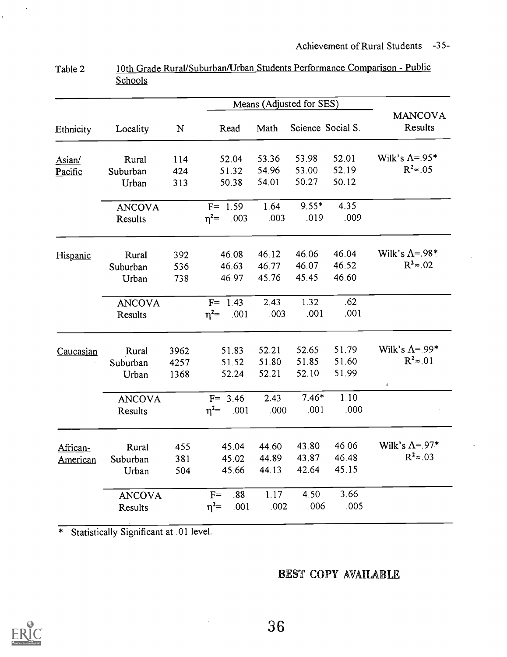|           |                |           |                       |       | Means (Adjusted for SES) |                   |                           |
|-----------|----------------|-----------|-----------------------|-------|--------------------------|-------------------|---------------------------|
| Ethnicity | Locality       | ${\bf N}$ | Read                  | Math  |                          | Science Social S. | <b>MANCOVA</b><br>Results |
| Asian/    | Rural          | 114       | 52.04                 | 53.36 | 53.98                    | 52.01             | Wilk's $\Lambda$ =.95*    |
| Pacific   | Suburban       | 424       | 51.32                 | 54.96 | 53.00                    | 52.19             | $R^2 \approx 0.05$        |
|           | Urban          | 313       | 50.38                 | 54.01 | 50.27                    | 50.12             |                           |
|           | <b>ANCOVA</b>  |           | $\overline{F}$ = 1.59 | 1.64  | $9.55*$                  | 4.35              |                           |
|           | Results        |           | $\eta^2$ = .003       | .003  | .019                     | .009              |                           |
| Hispanic  | Rural          | 392       | 46.08                 | 46.12 | 46.06                    | 46.04             | Wilk's $\Lambda$ =.98*    |
|           | Suburban       | 536       | 46.63                 | 46.77 | 46.07                    | 46.52             | $R^2 \approx .02$         |
|           | Urban          | 738       | 46.97                 | 45.76 | 45.45                    | 46.60             |                           |
|           | <b>ANCOVA</b>  |           | $F = 1.43$            | 2.43  | 1.32                     | .62               |                           |
|           | <b>Results</b> |           | $n^2$ = .001          | .003  | .001                     | .001              |                           |
| Caucasian | Rural          | 3962      | 51.83                 | 52.21 | 52.65                    | 51.79             | Wilk's $\Lambda$ =.99*    |
|           | Suburban       | 4257      | 51.52                 | 51.80 | 51.85                    | 51.60             | $R^2 \approx 01$          |
|           | Urban          | 1368      | 52.24                 | 52.21 | 52.10                    | 51.99             | $\pmb{f}$                 |
|           | <b>ANCOVA</b>  |           | $F = 3.46$            | 2.43  | $7.46*$                  | 1.10              |                           |
|           | Results        |           | $n^2$ .001            | .000  | .001                     | .000              |                           |
| African-  | Rural          | 455       | 45.04                 | 44.60 | 43.80                    | 46.06             | Wilk's $\Lambda$ =.97*    |
| American  | Suburban       | 381       | 45.02                 | 44.89 | 43.87                    | 46.48             | $R^2 \approx .03$         |
|           | Urban          | 504       | 45.66                 | 44.13 | 42.64                    | 45.15             |                           |
|           | <b>ANCOVA</b>  |           | .88<br>$F=$           | 1.17  | 4.50                     | 3.66              |                           |
|           | Results        |           | $\eta^2 =$<br>.001    | .002  | .006                     | .005              |                           |

Table 2 10th Grade Rural/Suburban/Urban Students Performance Comparison - Public **Schools** 

# BEST COPY AVAILABLE



 $\ddot{\phantom{a}}$ 

 $\mathbf{r}$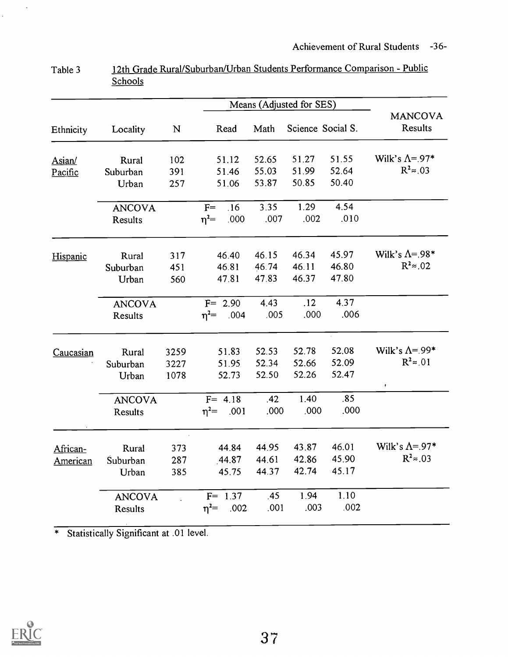|           | Means (Adjusted for SES) |      |                    |       |       |                   |                           |
|-----------|--------------------------|------|--------------------|-------|-------|-------------------|---------------------------|
| Ethnicity | Locality                 | N    | Read               | Math  |       | Science Social S. | <b>MANCOVA</b><br>Results |
| Asian/    | Rural                    | 102  | 51.12              | 52.65 | 51.27 | 51.55             | Wilk's $\Lambda$ =.97*    |
| Pacific   | Suburban                 | 391  | 51.46              | 55.03 | 51.99 | 52.64             | $R^2 \approx 0.03$        |
|           | Urban                    | 257  | 51.06              | 53.87 | 50.85 | 50.40             |                           |
|           | <b>ANCOVA</b>            |      | $F=$<br>.16        | 3.35  | 1.29  | 4.54              |                           |
|           | Results                  |      | .000<br>$\eta^2 =$ | .007  | .002  | .010              |                           |
| Hispanic  | Rural                    | 317  | 46.40              | 46.15 | 46.34 | 45.97             | Wilk's $\Lambda$ =.98*    |
|           | Suburban                 | 451  | 46.81              | 46.74 | 46.11 | 46.80             | $R^2 \approx 0.02$        |
|           | Urban                    | 560  | 47.81              | 47.83 | 46.37 | 47.80             |                           |
|           | <b>ANCOVA</b>            |      | $F = 2.90$         | 4.43  | .12   | 4.37              |                           |
|           | Results                  |      | $n^2$ .004         | .005  | .000  | .006              |                           |
| Caucasian | Rural                    | 3259 | 51.83              | 52.53 | 52.78 | 52.08             | Wilk's $\Lambda$ =.99*    |
|           | Suburban                 | 3227 | 51.95              | 52.34 | 52.66 | 52.09             | $R^2 \approx 01$          |
|           | Urban                    | 1078 | 52.73              | 52.50 | 52.26 | 52.47             |                           |
|           | <b>ANCOVA</b>            |      | $F = 4.18$         | .42   | 1.40  | .85               |                           |
|           | Results                  |      | $\eta^2$ = .001    | .000  | .000  | .000              |                           |
| African-  | Rural                    | 373  | 44.84              | 44.95 | 43.87 | 46.01             | Wilk's $\Lambda$ =.97*    |
| American  | Suburban                 | 287  | .44.87             | 44.61 | 42.86 | 45.90             | $R^2 \approx .03$         |
|           | Urban                    | 385  | 45.75              | 44.37 | 42.74 | 45.17             |                           |
|           | <b>ANCOVA</b>            |      | $F = 1.37$         | .45   | 1.94  | 1.10              |                           |
|           | Results                  |      | $\eta^2 =$<br>.002 | .001  | .003  | .002              |                           |

Table 3 12th Grade Rural/Suburban/Urban Students Performance Comparison - Public **Schools** 



 $\mathbf{v}_k$ 

 $\hat{\mathbf{v}}$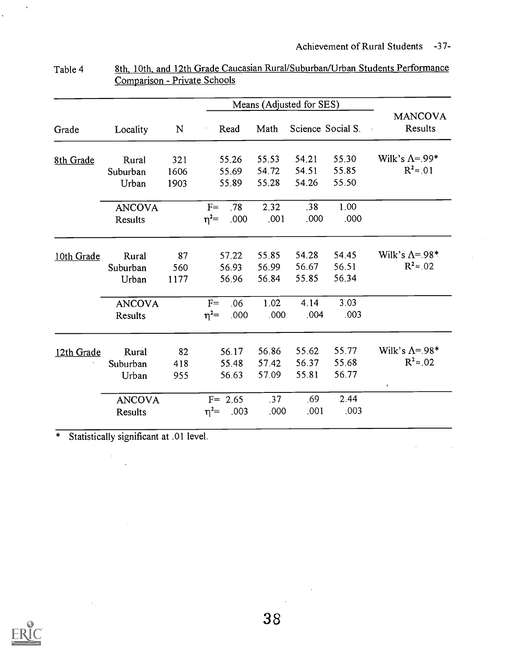$\sim 10^{-1}$ 

 $\bar{\beta}$ 

|            |               |           |            |       | Means (Adjusted for SES) |       |                   |                           |
|------------|---------------|-----------|------------|-------|--------------------------|-------|-------------------|---------------------------|
| Grade      | Locality      | ${\bf N}$ |            | Read  | Math                     |       | Science Social S. | <b>MANCOVA</b><br>Results |
| 8th Grade  | Rural         | 321       |            | 55.26 | 55.53                    | 54.21 | 55.30             | Wilk's $\Lambda$ =.99*    |
|            | Suburban      | 1606      |            | 55.69 | 54.72                    | 54.51 | 55.85             | $R^2 \approx 0.01$        |
|            | Urban         | 1903      |            | 55.89 | 55.28                    | 54.26 | 55.50             |                           |
|            | <b>ANCOVA</b> |           | $F=$       | .78   | 2.32                     | .38   | 1.00              |                           |
|            | Results       |           | $\eta^2=$  | .000  | .001                     | .000  | .000              |                           |
| 10th Grade | Rural         | 87        |            | 57.22 | 55.85                    | 54.28 | 54.45             | Wilk's $\Lambda$ =.98*    |
|            | Suburban      | 560       |            | 56.93 | 56.99                    | 56.67 | 56.51             | $R^2 \approx .02$         |
|            | Urban         | 1177      |            | 56.96 | 56.84                    | 55.85 | 56.34             |                           |
|            | <b>ANCOVA</b> |           | $F=$       | .06   | 1.02                     | 4.14  | 3.03              |                           |
|            | Results       |           | $\eta^2 =$ | .000  | .000.                    | .004  | .003              |                           |
|            | Rural         | 82        |            | 56.17 | 56.86                    | 55.62 | 55.77             | Wilk's $\Lambda$ =.98*    |
| 12th Grade | Suburban      | 418       |            | 55.48 | 57.42                    | 56.37 | 55.68             | $R^2 \approx .02$         |
|            | Urban         | 955       |            | 56.63 | 57.09                    | 55.81 | 56.77             | $\pmb{\cdot}$             |
|            | <b>ANCOVA</b> |           | $F = 2.65$ |       | .37                      | .69   | 2.44              |                           |
|            | Results       |           | $\eta^2 =$ | .003  | .000                     | .001  | .003              |                           |
|            |               |           |            |       |                          |       |                   |                           |

| Table 4 | 8th, 10th, and 12th Grade Caucasian Rural/Suburban/Urban Students Performance |
|---------|-------------------------------------------------------------------------------|
|         | Comparison - Private Schools                                                  |

\* Statistically significant at .01 level.

 $\frac{1}{2} \frac{1}{2}$ 

 $\bar{z}$ 

 $\sim 5\%$ 



 $\sim$   $\sqrt{s}$ 

 $\frac{1}{2}$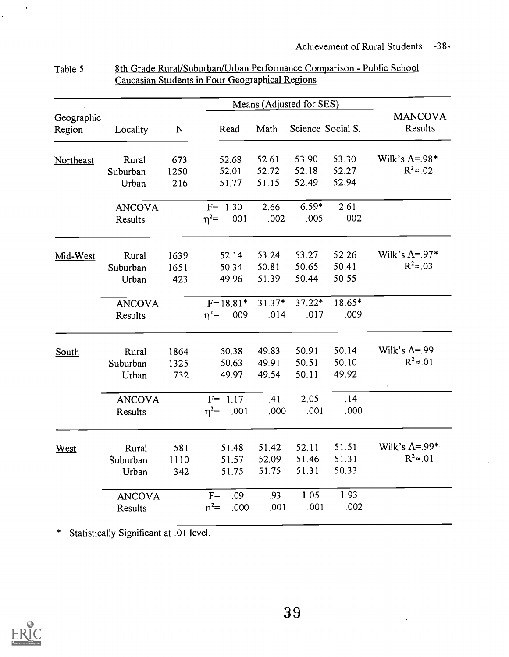|                      |               |           |                    |        | Means (Adjusted for SES) |        |                           |
|----------------------|---------------|-----------|--------------------|--------|--------------------------|--------|---------------------------|
| Geographic<br>Region | Locality      | ${\bf N}$ | Read               | Math   | Science Social S.        |        | <b>MANCOVA</b><br>Results |
| Northeast            | Rural         | 673       | 52.68              | 52.61  | 53.90                    | 53.30  | Wilk's $\Lambda$ =.98*    |
|                      | Suburban      | 1250      | 52.01              | 52.72  | 52.18                    | 52.27  | $R^2 \approx .02$         |
|                      | Urban         | 216       | 51.77              | 51.15  | 52.49                    | 52.94  |                           |
|                      | <b>ANCOVA</b> |           | $F = 1.30$         | 2.66   | $6.59*$                  | 2.61   |                           |
|                      | Results       |           | $\eta^2$ = .001    | .002   | .005                     | .002   |                           |
| Mid-West             | Rural         | 1639      | 52.14              | 53.24  | 53.27                    | 52.26  | Wilk's $\Lambda$ =.97*    |
|                      | Suburban      | 1651      | 50.34              | 50.81  | 50.65                    | 50.41  | $R^2 \approx 0.03$        |
|                      | Urban         | 423       | 49.96              | 51.39  | 50.44                    | 50.55  |                           |
|                      | <b>ANCOVA</b> |           | $F = 18.81*$       | 31.37* | 37.22*                   | 18.65* |                           |
|                      | Results       |           | $\eta^2$ = .009    | .014   | .017                     | .009   |                           |
| South                | Rural         | 1864      | 50.38              | 49.83  | 50.91                    | 50.14  | Wilk's $\Lambda$ =.99     |
|                      | Suburban      | 1325      | 50.63              | 49.91  | 50.51                    | 50.10  | $R^2 \approx 01$          |
|                      | Urban         | 732       | 49.97              | 49.54  | 50.11                    | 49.92  |                           |
|                      | <b>ANCOVA</b> |           | $F = 1.17$         | .41    | 2.05                     | .14    |                           |
|                      | Results       |           | $\eta^2$ = .001    | .000   | .001                     | .000   |                           |
| West                 | Rural         | 581       | 51.48              | 51.42  | 52.11                    | 51.51  | Wilk's $\Lambda = 99$ *   |
|                      | Suburban      | 1110      | 51.57              | 52.09  | 51.46                    | 51.31  | $R^2 \approx 01$          |
|                      | Urban         | 342       | 51.75              | 51.75  | 51.31                    | 50.33  |                           |
|                      | <b>ANCOVA</b> |           | .09<br>$F=$        | .93    | 1.05                     | 1.93   |                           |
|                      | Results       |           | $\eta^2 =$<br>.000 | .001   | .001                     | .002   |                           |
|                      |               |           |                    |        |                          |        |                           |

#### Table 5 8th Grade Rural/Suburban/Urban Performance Comparison - Public School Caucasian Students in Four Geographical Regions

\* Statistically Significant at .01 level.



 $\hat{\mathbf{r}}$ 

 $\ddot{\phantom{a}}$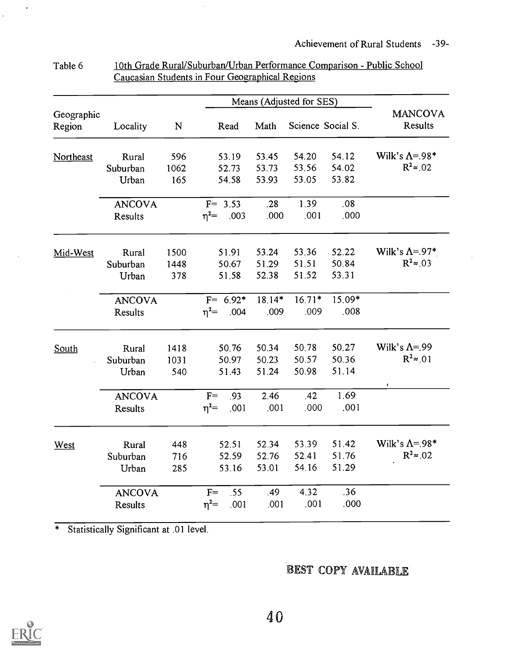|                      |               |           |                    |        | Means (Adjusted for SES) |                   |                           |
|----------------------|---------------|-----------|--------------------|--------|--------------------------|-------------------|---------------------------|
| Geographic<br>Region | Locality      | ${\bf N}$ | Read               | Math   |                          | Science Social S. | <b>MANCOVA</b><br>Results |
| Northeast            | Rural         | 596       | 53.19              | 53.45  | 54.20                    | 54.12             | Wilk's $\Lambda = 98*$    |
|                      | Suburban      | 1062      | 52.73              | 53.73  | 53.56                    | 54.02             | $R^2 \approx 0.02$        |
|                      | Urban         | 165       | 54.58              | 53.93  | 53.05                    | 53.82             |                           |
|                      | <b>ANCOVA</b> |           | $F = 3.53$         | .28    | 1.39                     | .08               |                           |
|                      | Results       |           | $\eta^2 =$<br>.003 | .000   | .001                     | .000              |                           |
| Mid-West             | Rural         | 1500      | 51.91              | 53.24  | 53.36                    | 52.22             | Wilk's $\Lambda$ =.97*    |
|                      | Suburban      | 1448      | 50.67              | 51.29  | 51.51                    | 50.84             | $R^2 \approx 0.03$        |
|                      | Urban         | 378       | 51.58              | 52.38  | 51.52                    | 53.31             |                           |
|                      | <b>ANCOVA</b> |           | $F = 6.92*$        | 18.14* | $16.71*$                 | 15.09*            |                           |
|                      | Results       |           | $\eta^2 =$<br>.004 | .009   | .009                     | .008              |                           |
| South                | Rural         | 1418      | 50.76              | 50.34  | 50.78                    | 50.27             | Wilk's $\Lambda$ =.99     |
|                      | Suburban      | 1031      | 50.97              | 50.23  | 50.57                    | 50.36             | $R^2 \approx 01$          |
|                      | Urban         | 540       | 51.43              | 51.24  | 50.98                    | 51.14             |                           |
|                      | <b>ANCOVA</b> |           | $F=$<br>.93        | 2.46   | .42                      | 1.69              |                           |
|                      | Results       |           | $\eta^2 =$<br>.001 | .001   | .000                     | .001              |                           |
| West                 | Rural         | 448       | 52.51              | 52.34  | 53.39                    | 51.42             | Wilk's $\Lambda$ =.98*    |
|                      | Suburban      | 716       | 52.59              | 52.76  | 52.41                    | 51.76             | $R^2 \approx 0.02$        |
|                      | Urban         | 285       | 53.16              | 53.01  | 54.16                    | 51.29             |                           |
|                      | <b>ANCOVA</b> |           | $F=$<br>.55        | .49    | 4.32                     | .36               |                           |
|                      | Results       |           | $\eta^2=$<br>.001  | .001   | .001                     | .000              |                           |

#### Table 6 10th Grade Rural/Suburban/Urban Performance Comparison - Public School Caucasian Students in Four Geographical Regions

\* Statistically Significant at .01 level.

# BEST COPY AVAILABLE



 $\ddot{\phantom{1}}$ 

 $\bar{\tau}$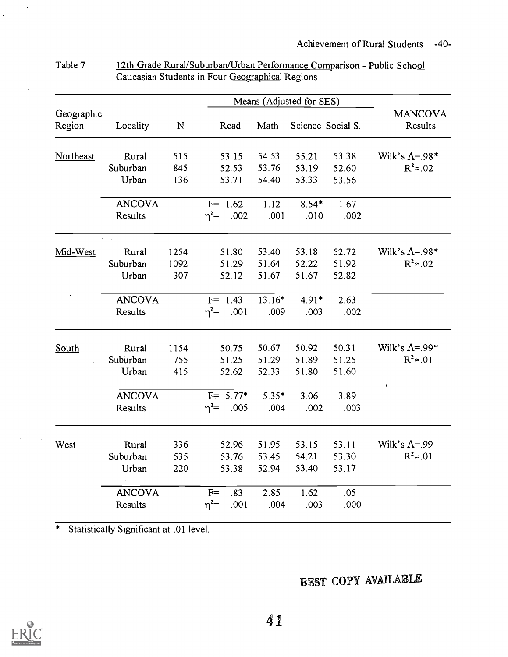|                      |               |             |                    |         | Means (Adjusted for SES) |                   |                           |
|----------------------|---------------|-------------|--------------------|---------|--------------------------|-------------------|---------------------------|
| Geographic<br>Region | Locality      | $\mathbf N$ | Read               | Math    |                          | Science Social S. | <b>MANCOVA</b><br>Results |
| Northeast            | Rural         | 515         | 53.15              | 54.53   | 55.21                    | 53.38             | Wilk's $\Lambda$ =.98*    |
|                      | Suburban      | 845         | 52.53              | 53.76   | 53.19                    | 52.60             | $R^2 \approx 0.02$        |
|                      | Urban         | 136         | 53.71              | 54.40   | 53.33                    | 53.56             |                           |
|                      | <b>ANCOVA</b> |             | $F = 1.62$         | 1.12    | $8.54*$                  | 1.67              |                           |
|                      | Results       |             | $\eta^2$ .002      | .001    | .010                     | .002              |                           |
|                      |               |             |                    |         |                          |                   |                           |
| Mid-West             | Rural         | 1254        | 51.80              | 53.40   | 53.18                    | 52.72             | Wilk's $\Lambda$ =.98*    |
|                      | Suburban      | 1092        | 51.29              | 51.64   | 52.22                    | 51.92             | $R^2 \approx .02$         |
|                      | Urban         | 307         | 52.12              | 51.67   | 51.67                    | 52.82             |                           |
|                      | <b>ANCOVA</b> |             | $F = 1.43$         | 13.16*  | $4.91*$                  | 2.63              |                           |
|                      | Results       |             | $\eta^2$ = .001    | .009    | .003                     | .002              |                           |
| South                | Rural         | 1154        | 50.75              | 50.67   | 50.92                    | 50.31             | Wilk's $\Lambda$ =.99*    |
|                      | Suburban      | 755         | 51.25              | 51.29   | 51.89                    | 51.25             | $R^2 \approx 01$          |
|                      | Urban         | 415         | 52.62              | 52.33   | 51.80                    | 51.60             |                           |
|                      | <b>ANCOVA</b> |             | $F = 5.77*$        | $5.35*$ | 3.06                     | 3.89              |                           |
|                      | Results       |             | $\eta^2$ .005      | 004     | .002                     | .003              |                           |
| West                 | Rural         | 336         | 52.96              | 51.95   | 53.15                    | 53.11             | Wilk's $\Lambda$ =.99     |
|                      | Suburban      | 535         | 53.76              | 53.45   | 54.21                    | 53.30             | $R^2 \approx 0.01$        |
|                      | Urban         | 220         | 53.38              | 52.94   | 53.40                    | 53.17             |                           |
|                      | <b>ANCOVA</b> |             | $F=$<br>.83        | 2.85    | 1.62                     | .05               |                           |
|                      | Results       |             | $\eta^2 =$<br>.001 | .004    | .003                     | .000              |                           |
|                      |               |             |                    |         |                          |                   |                           |

| Table 7 | 12th Grade Rural/Suburban/Urban Performance Comparison - Public School |
|---------|------------------------------------------------------------------------|
|         | Caucasian Students in Four Geographical Regions                        |

# BEST COPY AVAILABLE

 $\sim 10^7$ 



 $\mathcal{A}$ 

 $\hat{\mathcal{A}}$ 

 $\frac{1}{\tau}$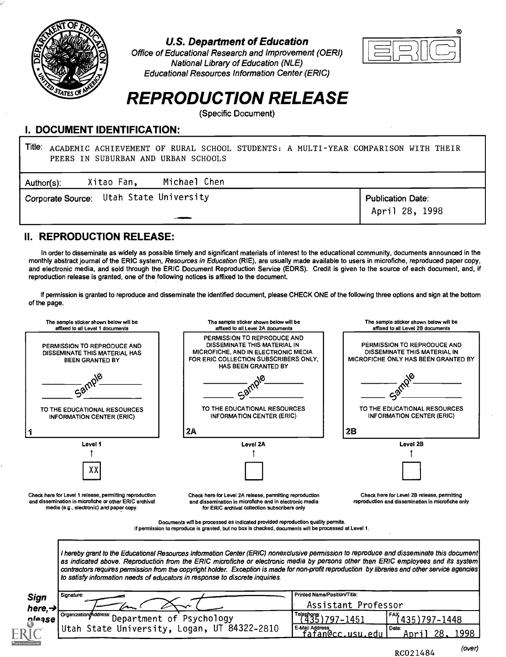

## U.S. Department of Education

Office of Educational Research and Improvement (OERI) National Library of Education (NLE) Educational Resources Information Center (ERIC)



# REPRODUCTION RELEASE

(Specific Document)

## DOCUMENT IDENTIFICATION:

| Title:<br>ACADEMIC ACHIEVEMENT OF RURAL SCHOOL STUDENTS: A MULTI-YEAR COMPARISON WITH THEIR<br>PEERS IN SUBURBAN AND URBAN SCHOOLS |                                            |
|------------------------------------------------------------------------------------------------------------------------------------|--------------------------------------------|
| Michael Chen<br>Xitao Fan,<br>Author(s):                                                                                           |                                            |
| Corporate Source: Utah State University                                                                                            | <b>Publication Date:</b><br>April 28, 1998 |

# II. REPRODUCTION RELEASE:

In order to disseminate as widely as possible timely and significant materials of interest to the educational community, documents announced in the monthly abstract journal of the ERIC system, Resources in Education (RIE), are usually made available to users in microfiche, reproduced paper copy, and electronic media, and sold through the ERIC Document Reproduction Service (EDRS). Credit is given to the source of each document, and, if reproduction release is granted, one of the following notices is affixed to the document.

If permission is granted to reproduce and disseminate the identified document, please CHECK ONE of the following three options and sign at the bottom of the page.



RCO21484 (over)